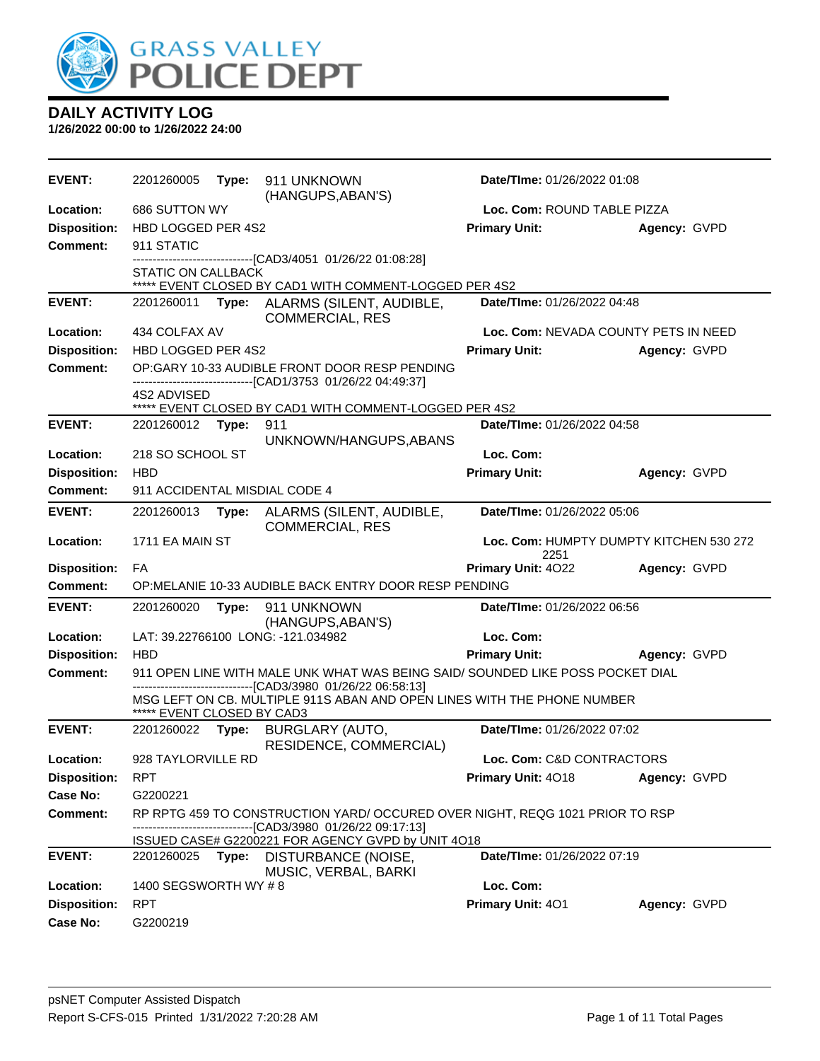

| <b>EVENT:</b>                          | 2201260005                     | Type: | 911 UNKNOWN<br>(HANGUPS, ABAN'S)                                                      | Date/TIme: 01/26/2022 01:08          |                                         |
|----------------------------------------|--------------------------------|-------|---------------------------------------------------------------------------------------|--------------------------------------|-----------------------------------------|
| Location:                              | 686 SUTTON WY                  |       |                                                                                       | Loc. Com: ROUND TABLE PIZZA          |                                         |
| <b>Disposition:</b>                    | HBD LOGGED PER 4S2             |       |                                                                                       | <b>Primary Unit:</b>                 | Agency: GVPD                            |
| Comment:                               | 911 STATIC                     |       |                                                                                       |                                      |                                         |
|                                        | STATIC ON CALLBACK             |       | ***** EVENT CLOSED BY CAD1 WITH COMMENT-LOGGED PER 4S2                                |                                      |                                         |
| <b>EVENT:</b>                          | 2201260011                     |       | Type: ALARMS (SILENT, AUDIBLE,                                                        | Date/TIme: 01/26/2022 04:48          |                                         |
|                                        |                                |       | <b>COMMERCIAL, RES</b>                                                                |                                      |                                         |
| Location:                              | 434 COLFAX AV                  |       |                                                                                       | Loc. Com: NEVADA COUNTY PETS IN NEED |                                         |
| <b>Disposition:</b>                    | HBD LOGGED PER 4S2             |       |                                                                                       | <b>Primary Unit:</b>                 | Agency: GVPD                            |
| <b>Comment:</b>                        |                                |       | OP:GARY 10-33 AUDIBLE FRONT DOOR RESP PENDING                                         |                                      |                                         |
|                                        | 4S2 ADVISED                    |       | -------------------------------[CAD1/3753 01/26/22 04:49:37]                          |                                      |                                         |
|                                        |                                |       | ***** EVENT CLOSED BY CAD1 WITH COMMENT-LOGGED PER 4S2                                |                                      |                                         |
| <b>EVENT:</b>                          | 2201260012                     | Type: | 911                                                                                   | Date/TIme: 01/26/2022 04:58          |                                         |
|                                        |                                |       | UNKNOWN/HANGUPS, ABANS                                                                |                                      |                                         |
| Location:                              | 218 SO SCHOOL ST<br><b>HBD</b> |       |                                                                                       | Loc. Com:<br><b>Primary Unit:</b>    |                                         |
| <b>Disposition:</b><br><b>Comment:</b> | 911 ACCIDENTAL MISDIAL CODE 4  |       |                                                                                       |                                      | Agency: GVPD                            |
|                                        |                                |       |                                                                                       |                                      |                                         |
| <b>EVENT:</b>                          | 2201260013                     | Type: | ALARMS (SILENT, AUDIBLE,<br><b>COMMERCIAL, RES</b>                                    | Date/TIme: 01/26/2022 05:06          |                                         |
| Location:                              | 1711 EA MAIN ST                |       |                                                                                       |                                      | Loc. Com: HUMPTY DUMPTY KITCHEN 530 272 |
|                                        |                                |       |                                                                                       | 2251                                 |                                         |
| <b>Disposition:</b>                    | FA                             |       |                                                                                       | Primary Unit: 4022                   | Agency: GVPD                            |
| <b>Comment:</b>                        |                                |       | OP: MELANIE 10-33 AUDIBLE BACK ENTRY DOOR RESP PENDING                                |                                      |                                         |
| <b>EVENT:</b>                          | 2201260020                     | Type: | 911 UNKNOWN                                                                           | Date/TIme: 01/26/2022 06:56          |                                         |
| Location:                              |                                |       | (HANGUPS, ABAN'S)<br>LAT: 39.22766100 LONG: -121.034982                               | Loc. Com:                            |                                         |
| <b>Disposition:</b>                    | <b>HBD</b>                     |       |                                                                                       | <b>Primary Unit:</b>                 | Agency: GVPD                            |
| <b>Comment:</b>                        |                                |       | 911 OPEN LINE WITH MALE UNK WHAT WAS BEING SAID/ SOUNDED LIKE POSS POCKET DIAL        |                                      |                                         |
|                                        |                                |       | ----------------------[CAD3/3980 01/26/22 06:58:13]                                   |                                      |                                         |
|                                        | ***** EVENT CLOSED BY CAD3     |       | MSG LEFT ON CB. MULTIPLE 911S ABAN AND OPEN LINES WITH THE PHONE NUMBER               |                                      |                                         |
| <b>EVENT:</b>                          | 2201260022                     | Type: | <b>BURGLARY (AUTO,</b><br>RESIDENCE, COMMERCIAL)                                      | Date/TIme: 01/26/2022 07:02          |                                         |
| Location:                              | 928 TAYLORVILLE RD             |       |                                                                                       | Loc. Com: C&D CONTRACTORS            |                                         |
| <b>Disposition:</b>                    | <b>RPT</b>                     |       |                                                                                       | Primary Unit: 4018                   | Agency: GVPD                            |
| <b>Case No:</b>                        | G2200221                       |       |                                                                                       |                                      |                                         |
| Comment:                               |                                |       | RP RPTG 459 TO CONSTRUCTION YARD/ OCCURED OVER NIGHT, REQG 1021 PRIOR TO RSP          |                                      |                                         |
|                                        |                                |       | --[CAD3/3980 01/26/22 09:17:13]<br>ISSUED CASE# G2200221 FOR AGENCY GVPD by UNIT 4O18 |                                      |                                         |
| <b>EVENT:</b>                          | 2201260025                     | Type: | <b>DISTURBANCE (NOISE,</b>                                                            | Date/TIme: 01/26/2022 07:19          |                                         |
|                                        |                                |       |                                                                                       |                                      |                                         |
| Location:                              | 1400 SEGSWORTH WY #8           |       | MUSIC, VERBAL, BARKI                                                                  | Loc. Com:                            |                                         |
| <b>Disposition:</b>                    | <b>RPT</b>                     |       |                                                                                       | Primary Unit: 401                    | Agency: GVPD                            |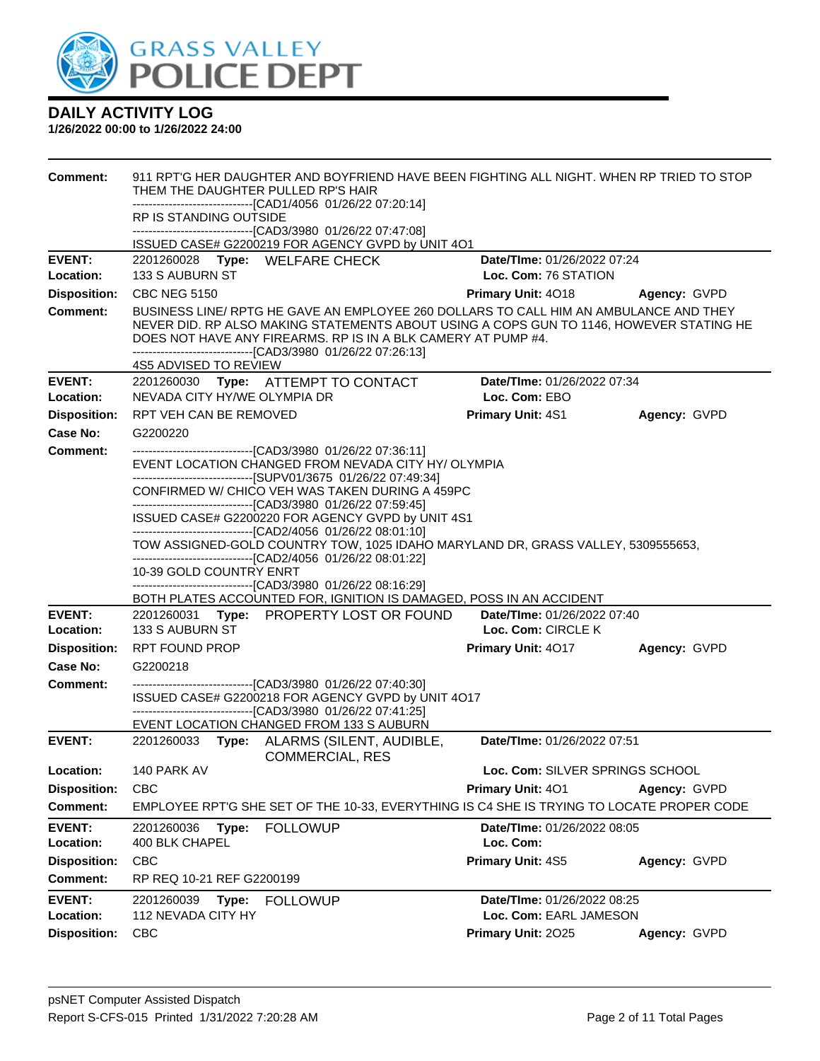

| <b>Comment:</b>            | 911 RPT'G HER DAUGHTER AND BOYFRIEND HAVE BEEN FIGHTING ALL NIGHT. WHEN RP TRIED TO STOP<br>THEM THE DAUGHTER PULLED RP'S HAIR<br>--------------------------------[CAD1/4056_01/26/22_07:20:14]                                                                                                                                                                                                                                 |                                                            |              |  |  |
|----------------------------|---------------------------------------------------------------------------------------------------------------------------------------------------------------------------------------------------------------------------------------------------------------------------------------------------------------------------------------------------------------------------------------------------------------------------------|------------------------------------------------------------|--------------|--|--|
|                            | RP IS STANDING OUTSIDE                                                                                                                                                                                                                                                                                                                                                                                                          |                                                            |              |  |  |
|                            | -------------------------------[CAD3/3980 01/26/22 07:47:08]<br>ISSUED CASE# G2200219 FOR AGENCY GVPD by UNIT 4O1                                                                                                                                                                                                                                                                                                               |                                                            |              |  |  |
| <b>EVENT:</b><br>Location: | 2201260028 Type: WELFARE CHECK<br>133 S AUBURN ST                                                                                                                                                                                                                                                                                                                                                                               | <b>Date/TIme: 01/26/2022 07:24</b><br>Loc. Com: 76 STATION |              |  |  |
| <b>Disposition:</b>        | <b>CBC NEG 5150</b>                                                                                                                                                                                                                                                                                                                                                                                                             | Primary Unit: 4018                                         | Agency: GVPD |  |  |
| <b>Comment:</b>            | BUSINESS LINE/ RPTG HE GAVE AN EMPLOYEE 260 DOLLARS TO CALL HIM AN AMBULANCE AND THEY<br>NEVER DID. RP ALSO MAKING STATEMENTS ABOUT USING A COPS GUN TO 1146, HOWEVER STATING HE<br>DOES NOT HAVE ANY FIREARMS. RP IS IN A BLK CAMERY AT PUMP #4.<br>-------------------------------[CAD3/3980 01/26/22 07:26:13]<br>4S5 ADVISED TO REVIEW                                                                                      |                                                            |              |  |  |
| <b>EVENT:</b>              | 2201260030 Type: ATTEMPT TO CONTACT                                                                                                                                                                                                                                                                                                                                                                                             | Date/TIme: 01/26/2022 07:34                                |              |  |  |
| Location:                  | NEVADA CITY HY/WE OLYMPIA DR                                                                                                                                                                                                                                                                                                                                                                                                    | Loc. Com: EBO                                              |              |  |  |
| <b>Disposition:</b>        | RPT VEH CAN BE REMOVED                                                                                                                                                                                                                                                                                                                                                                                                          | Primary Unit: 4S1                                          | Agency: GVPD |  |  |
| Case No:                   | G2200220                                                                                                                                                                                                                                                                                                                                                                                                                        |                                                            |              |  |  |
| <b>Comment:</b>            | --------------------------------[CAD3/3980 01/26/22 07:36:11]<br>EVENT LOCATION CHANGED FROM NEVADA CITY HY/OLYMPIA<br>-------------------------------[SUPV01/3675 01/26/22 07:49:34]<br>CONFIRMED W/ CHICO VEH WAS TAKEN DURING A 459PC<br>---------------------------------[CAD3/3980 01/26/22 07:59:45]<br>ISSUED CASE# G2200220 FOR AGENCY GVPD by UNIT 4S1<br>-------------------------------[CAD2/4056 01/26/22 08:01:10] |                                                            |              |  |  |
|                            | TOW ASSIGNED-GOLD COUNTRY TOW, 1025 IDAHO MARYLAND DR, GRASS VALLEY, 5309555653,                                                                                                                                                                                                                                                                                                                                                |                                                            |              |  |  |
|                            | -------------------------------[CAD2/4056 01/26/22 08:01:22]                                                                                                                                                                                                                                                                                                                                                                    |                                                            |              |  |  |
|                            | 10-39 GOLD COUNTRY ENRT<br>-------------------------------[CAD3/3980 01/26/22 08:16:29]                                                                                                                                                                                                                                                                                                                                         |                                                            |              |  |  |
|                            | BOTH PLATES ACCOUNTED FOR, IGNITION IS DAMAGED, POSS IN AN ACCIDENT                                                                                                                                                                                                                                                                                                                                                             |                                                            |              |  |  |
| <b>EVENT:</b>              | 2201260031 Type: PROPERTY LOST OR FOUND                                                                                                                                                                                                                                                                                                                                                                                         | <b>Date/Time: 01/26/2022 07:40</b>                         |              |  |  |
| Location:                  | 133 S AUBURN ST                                                                                                                                                                                                                                                                                                                                                                                                                 | Loc. Com: CIRCLE K                                         |              |  |  |
| <b>Disposition:</b>        | <b>RPT FOUND PROP</b>                                                                                                                                                                                                                                                                                                                                                                                                           | Primary Unit: 4017                                         | Agency: GVPD |  |  |
| <b>Case No:</b>            | G2200218                                                                                                                                                                                                                                                                                                                                                                                                                        |                                                            |              |  |  |
| Comment:                   | -------------------------------[CAD3/3980 01/26/22 07:40:30]<br>ISSUED CASE# G2200218 FOR AGENCY GVPD by UNIT 4O17<br>-------------------------------[CAD3/3980_01/26/22 07:41:25]<br>EVENT LOCATION CHANGED FROM 133 S AUBURN                                                                                                                                                                                                  |                                                            |              |  |  |
| <b>EVENT:</b>              | Type: ALARMS (SILENT, AUDIBLE,<br>2201260033<br><b>COMMERCIAL, RES</b>                                                                                                                                                                                                                                                                                                                                                          | Date/TIme: 01/26/2022 07:51                                |              |  |  |
| Location:                  | 140 PARK AV                                                                                                                                                                                                                                                                                                                                                                                                                     | Loc. Com: SILVER SPRINGS SCHOOL                            |              |  |  |
| <b>Disposition:</b>        | CBC                                                                                                                                                                                                                                                                                                                                                                                                                             | Primary Unit: 401                                          | Agency: GVPD |  |  |
| <b>Comment:</b>            | EMPLOYEE RPT'G SHE SET OF THE 10-33, EVERYTHING IS C4 SHE IS TRYING TO LOCATE PROPER CODE                                                                                                                                                                                                                                                                                                                                       |                                                            |              |  |  |
| <b>EVENT:</b><br>Location: | <b>FOLLOWUP</b><br>2201260036<br>Type:<br>400 BLK CHAPEL                                                                                                                                                                                                                                                                                                                                                                        | Date/TIme: 01/26/2022 08:05<br>Loc. Com:                   |              |  |  |
| <b>Disposition:</b>        | <b>CBC</b>                                                                                                                                                                                                                                                                                                                                                                                                                      | Primary Unit: 4S5                                          | Agency: GVPD |  |  |
| <b>Comment:</b>            | RP REQ 10-21 REF G2200199                                                                                                                                                                                                                                                                                                                                                                                                       |                                                            |              |  |  |
| <b>EVENT:</b><br>Location: | 2201260039<br>Type:<br><b>FOLLOWUP</b><br>112 NEVADA CITY HY                                                                                                                                                                                                                                                                                                                                                                    | Date/TIme: 01/26/2022 08:25<br>Loc. Com: EARL JAMESON      |              |  |  |
| <b>Disposition:</b>        | <b>CBC</b>                                                                                                                                                                                                                                                                                                                                                                                                                      | Primary Unit: 2025                                         | Agency: GVPD |  |  |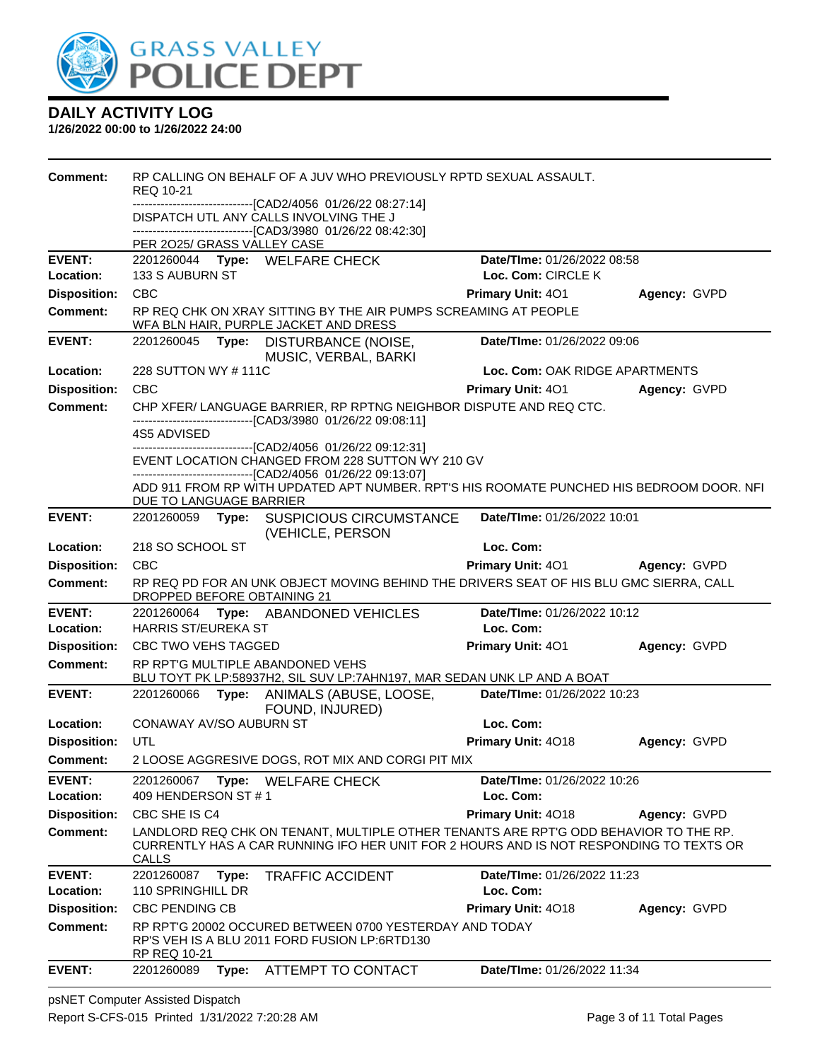

**1/26/2022 00:00 to 1/26/2022 24:00**

| Comment:                         | REQ 10-21                   | RP CALLING ON BEHALF OF A JUV WHO PREVIOUSLY RPTD SEXUAL ASSAULT.                                                                                                              |                                                   |              |
|----------------------------------|-----------------------------|--------------------------------------------------------------------------------------------------------------------------------------------------------------------------------|---------------------------------------------------|--------------|
|                                  |                             | ------------------------------[CAD2/4056_01/26/22_08:27:14]<br>DISPATCH UTL ANY CALLS INVOLVING THE J                                                                          |                                                   |              |
|                                  |                             | -------------------------[CAD3/3980 01/26/22 08:42:30]                                                                                                                         |                                                   |              |
|                                  | PER 2025/ GRASS VALLEY CASE |                                                                                                                                                                                |                                                   |              |
| <b>EVENT:</b><br>Location:       | 133 S AUBURN ST             | 2201260044 Type: WELFARE CHECK                                                                                                                                                 | Date/TIme: 01/26/2022 08:58<br>Loc. Com: CIRCLE K |              |
| <b>Disposition:</b>              | CBC                         |                                                                                                                                                                                | Primary Unit: 401                                 | Agency: GVPD |
| <b>Comment:</b>                  |                             | RP REQ CHK ON XRAY SITTING BY THE AIR PUMPS SCREAMING AT PEOPLE<br>WFA BLN HAIR, PURPLE JACKET AND DRESS                                                                       |                                                   |              |
| <b>EVENT:</b>                    | 2201260045 Type:            | DISTURBANCE (NOISE,<br>MUSIC, VERBAL, BARKI                                                                                                                                    | Date/TIme: 01/26/2022 09:06                       |              |
| Location:                        | 228 SUTTON WY #111C         |                                                                                                                                                                                | Loc. Com: OAK RIDGE APARTMENTS                    |              |
| <b>Disposition:</b>              | <b>CBC</b>                  |                                                                                                                                                                                | <b>Primary Unit: 401</b>                          | Agency: GVPD |
| <b>Comment:</b>                  |                             | CHP XFER/ LANGUAGE BARRIER, RP RPTNG NEIGHBOR DISPUTE AND REQ CTC.<br>-------------------------[CAD3/3980_01/26/22_09:08:11]                                                   |                                                   |              |
|                                  | 4S5 ADVISED                 | -------------------------------[CAD2/4056 01/26/22 09:12:31]                                                                                                                   |                                                   |              |
|                                  |                             | EVENT LOCATION CHANGED FROM 228 SUTTON WY 210 GV                                                                                                                               |                                                   |              |
|                                  |                             | -------------------------------[CAD2/4056 01/26/22 09:13:07]                                                                                                                   |                                                   |              |
|                                  | DUE TO LANGUAGE BARRIER     | ADD 911 FROM RP WITH UPDATED APT NUMBER. RPT'S HIS ROOMATE PUNCHED HIS BEDROOM DOOR. NFI                                                                                       |                                                   |              |
| <b>EVENT:</b>                    |                             | 2201260059 Type: SUSPICIOUS CIRCUMSTANCE<br>(VEHICLE, PERSON                                                                                                                   | Date/TIme: 01/26/2022 10:01                       |              |
| Location:                        | 218 SO SCHOOL ST            |                                                                                                                                                                                | Loc. Com:                                         |              |
| <b>Disposition:</b>              | <b>CBC</b>                  |                                                                                                                                                                                | <b>Primary Unit: 401</b>                          | Agency: GVPD |
| <b>Comment:</b>                  | DROPPED BEFORE OBTAINING 21 | RP REQ PD FOR AN UNK OBJECT MOVING BEHIND THE DRIVERS SEAT OF HIS BLU GMC SIERRA, CALL                                                                                         |                                                   |              |
| <b>EVENT:</b>                    |                             | 2201260064 Type: ABANDONED VEHICLES                                                                                                                                            | Date/TIme: 01/26/2022 10:12                       |              |
| Location:                        | HARRIS ST/EUREKA ST         |                                                                                                                                                                                | Loc. Com:                                         |              |
| <b>Disposition:</b>              | CBC TWO VEHS TAGGED         |                                                                                                                                                                                |                                                   |              |
|                                  |                             |                                                                                                                                                                                | Primary Unit: 401                                 | Agency: GVPD |
| <b>Comment:</b>                  |                             | RP RPT'G MULTIPLE ABANDONED VEHS<br>BLU TOYT PK LP:58937H2, SIL SUV LP:7AHN197, MAR SEDAN UNK LP AND A BOAT                                                                    |                                                   |              |
| <b>EVENT:</b>                    |                             | 2201260066 Type: ANIMALS (ABUSE, LOOSE,                                                                                                                                        | Date/TIme: 01/26/2022 10:23                       |              |
|                                  |                             | FOUND, INJURED)                                                                                                                                                                |                                                   |              |
| Location:                        | CONAWAY AV/SO AUBURN ST     |                                                                                                                                                                                | Loc. Com:                                         |              |
| <b>Disposition:</b>              | UTL                         |                                                                                                                                                                                | Primary Unit: 4018                                | Agency: GVPD |
| <b>Comment:</b><br><b>EVENT:</b> |                             | 2 LOOSE AGGRESIVE DOGS, ROT MIX AND CORGI PIT MIX<br>2201260067 Type: WELFARE CHECK                                                                                            | Date/TIme: 01/26/2022 10:26                       |              |
| Location:                        | 409 HENDERSON ST #1         |                                                                                                                                                                                | Loc. Com:                                         |              |
| <b>Disposition:</b>              | CBC SHE IS C4               |                                                                                                                                                                                | Primary Unit: 4018                                | Agency: GVPD |
| <b>Comment:</b>                  | CALLS                       | LANDLORD REQ CHK ON TENANT, MULTIPLE OTHER TENANTS ARE RPT'G ODD BEHAVIOR TO THE RP.<br>CURRENTLY HAS A CAR RUNNING IFO HER UNIT FOR 2 HOURS AND IS NOT RESPONDING TO TEXTS OR |                                                   |              |
| <b>EVENT:</b>                    | 2201260087<br>Type:         | <b>TRAFFIC ACCIDENT</b>                                                                                                                                                        | Date/TIme: 01/26/2022 11:23                       |              |
| Location:                        | 110 SPRINGHILL DR           |                                                                                                                                                                                | Loc. Com:                                         |              |
| <b>Disposition:</b>              | <b>CBC PENDING CB</b>       |                                                                                                                                                                                | Primary Unit: 4018                                | Agency: GVPD |
| <b>Comment:</b>                  | RP REQ 10-21                | RP RPT'G 20002 OCCURED BETWEEN 0700 YESTERDAY AND TODAY<br>RP'S VEH IS A BLU 2011 FORD FUSION LP:6RTD130                                                                       |                                                   |              |

psNET Computer Assisted Dispatch Report S-CFS-015 Printed 1/31/2022 7:20:28 AM Page 3 of 11 Total Pages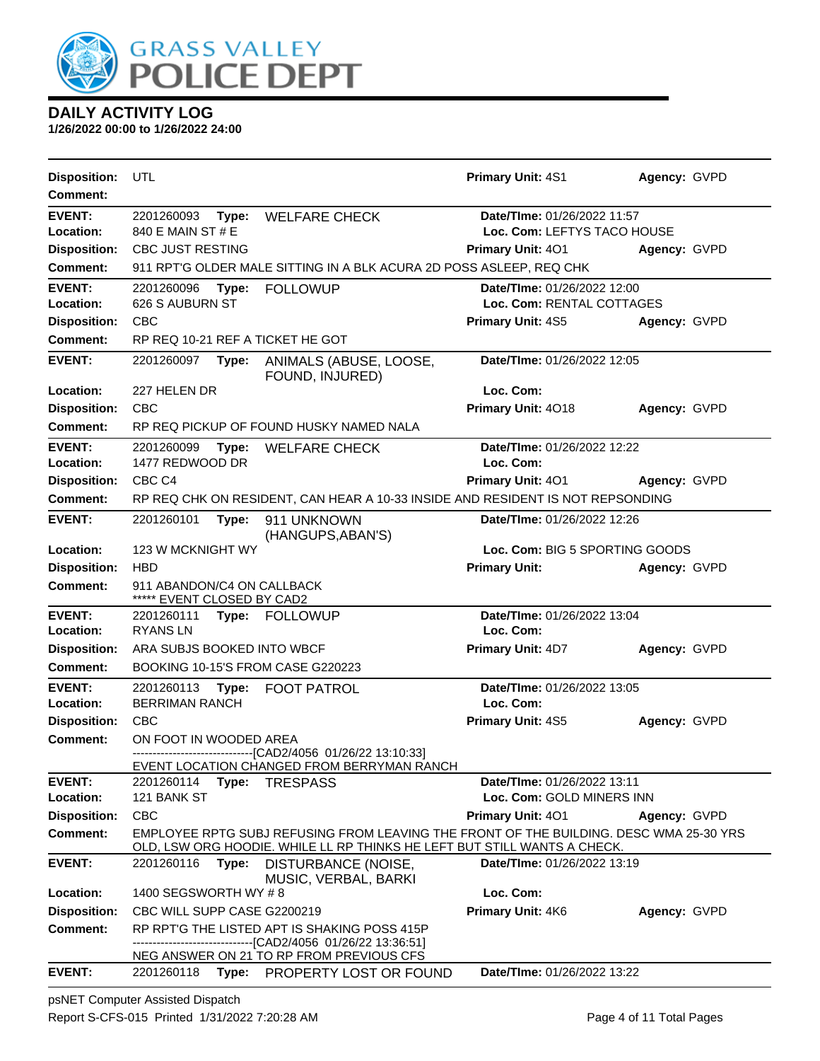

**1/26/2022 00:00 to 1/26/2022 24:00**

| <b>Disposition:</b>                    | UTL                                                      |       |                                                                                                                                                                    | <b>Primary Unit: 4S1</b>       | Agency: GVPD |
|----------------------------------------|----------------------------------------------------------|-------|--------------------------------------------------------------------------------------------------------------------------------------------------------------------|--------------------------------|--------------|
| <b>Comment:</b>                        |                                                          |       |                                                                                                                                                                    |                                |              |
| <b>EVENT:</b>                          | 2201260093                                               | Type: | <b>WELFARE CHECK</b>                                                                                                                                               | Date/TIme: 01/26/2022 11:57    |              |
| Location:                              | 840 E MAIN ST # E                                        |       |                                                                                                                                                                    | Loc. Com: LEFTYS TACO HOUSE    |              |
| <b>Disposition:</b>                    | CBC JUST RESTING                                         |       |                                                                                                                                                                    | <b>Primary Unit: 401</b>       | Agency: GVPD |
| <b>Comment:</b>                        |                                                          |       | 911 RPT'G OLDER MALE SITTING IN A BLK ACURA 2D POSS ASLEEP, REQ CHK                                                                                                |                                |              |
| <b>EVENT:</b>                          | 2201260096 Type:                                         |       | <b>FOLLOWUP</b>                                                                                                                                                    | Date/TIme: 01/26/2022 12:00    |              |
| Location:                              | 626 S AUBURN ST                                          |       |                                                                                                                                                                    | Loc. Com: RENTAL COTTAGES      |              |
| <b>Disposition:</b>                    | <b>CBC</b>                                               |       |                                                                                                                                                                    | <b>Primary Unit: 4S5</b>       | Agency: GVPD |
| <b>Comment:</b>                        |                                                          |       | RP REQ 10-21 REF A TICKET HE GOT                                                                                                                                   |                                |              |
| <b>EVENT:</b>                          | 2201260097                                               | Type: | ANIMALS (ABUSE, LOOSE,<br>FOUND, INJURED)                                                                                                                          | Date/TIme: 01/26/2022 12:05    |              |
| Location:                              | 227 HELEN DR                                             |       |                                                                                                                                                                    | Loc. Com:                      |              |
| <b>Disposition:</b>                    | <b>CBC</b>                                               |       |                                                                                                                                                                    | Primary Unit: 4018             | Agency: GVPD |
| <b>Comment:</b>                        |                                                          |       | RP REQ PICKUP OF FOUND HUSKY NAMED NALA                                                                                                                            |                                |              |
| <b>EVENT:</b>                          | 2201260099                                               | Type: | <b>WELFARE CHECK</b>                                                                                                                                               | Date/TIme: 01/26/2022 12:22    |              |
| Location:                              | 1477 REDWOOD DR                                          |       |                                                                                                                                                                    | Loc. Com:                      |              |
| <b>Disposition:</b>                    | CBC <sub>C4</sub>                                        |       |                                                                                                                                                                    | Primary Unit: 401              | Agency: GVPD |
| <b>Comment:</b>                        |                                                          |       | RP REQ CHK ON RESIDENT, CAN HEAR A 10-33 INSIDE AND RESIDENT IS NOT REPSONDING                                                                                     |                                |              |
| <b>EVENT:</b>                          | 2201260101                                               | Type: | 911 UNKNOWN<br>(HANGUPS, ABAN'S)                                                                                                                                   | Date/TIme: 01/26/2022 12:26    |              |
| Location:                              | 123 W MCKNIGHT WY                                        |       |                                                                                                                                                                    | Loc. Com: BIG 5 SPORTING GOODS |              |
| <b>Disposition:</b>                    | <b>HBD</b>                                               |       |                                                                                                                                                                    | <b>Primary Unit:</b>           | Agency: GVPD |
| <b>Comment:</b>                        | 911 ABANDON/C4 ON CALLBACK<br>***** EVENT CLOSED BY CAD2 |       |                                                                                                                                                                    |                                |              |
| <b>EVENT:</b>                          |                                                          |       | 2201260111 Type: FOLLOWUP                                                                                                                                          | Date/TIme: 01/26/2022 13:04    |              |
| Location:                              | <b>RYANSLN</b>                                           |       |                                                                                                                                                                    | Loc. Com:                      |              |
| <b>Disposition:</b>                    | ARA SUBJS BOOKED INTO WBCF                               |       |                                                                                                                                                                    | <b>Primary Unit: 4D7</b>       | Agency: GVPD |
| <b>Comment:</b>                        |                                                          |       | BOOKING 10-15'S FROM CASE G220223                                                                                                                                  |                                |              |
| <b>EVENT:</b>                          | 2201260113 Type:                                         |       | <b>FOOT PATROL</b>                                                                                                                                                 | Date/TIme: 01/26/2022 13:05    |              |
| Location:                              | <b>BERRIMAN RANCH</b><br><b>CBC</b>                      |       |                                                                                                                                                                    | Loc. Com:                      |              |
| <b>Disposition:</b><br><b>Comment:</b> |                                                          |       |                                                                                                                                                                    | Primary Unit: 4S5              | Agency: GVPD |
|                                        | ON FOOT IN WOODED AREA                                   |       | ------------------------------[CAD2/4056 01/26/22 13:10:33]                                                                                                        |                                |              |
|                                        |                                                          |       | EVENT LOCATION CHANGED FROM BERRYMAN RANCH                                                                                                                         |                                |              |
| <b>EVENT:</b>                          |                                                          |       | 2201260114 Type: TRESPASS                                                                                                                                          | Date/TIme: 01/26/2022 13:11    |              |
| Location:                              | 121 BANK ST                                              |       |                                                                                                                                                                    | Loc. Com: GOLD MINERS INN      |              |
| <b>Disposition:</b>                    | <b>CBC</b>                                               |       |                                                                                                                                                                    | <b>Primary Unit: 401</b>       | Agency: GVPD |
| <b>Comment:</b>                        |                                                          |       | EMPLOYEE RPTG SUBJ REFUSING FROM LEAVING THE FRONT OF THE BUILDING. DESC WMA 25-30 YRS<br>OLD, LSW ORG HOODIE. WHILE LL RP THINKS HE LEFT BUT STILL WANTS A CHECK. |                                |              |
| <b>EVENT:</b>                          | 2201260116 <b>Type:</b>                                  |       | DISTURBANCE (NOISE,<br>MUSIC, VERBAL, BARKI                                                                                                                        | Date/TIme: 01/26/2022 13:19    |              |
| Location:                              | 1400 SEGSWORTH WY #8                                     |       |                                                                                                                                                                    | Loc. Com:                      |              |
| <b>Disposition:</b>                    | CBC WILL SUPP CASE G2200219                              |       |                                                                                                                                                                    | Primary Unit: 4K6              | Agency: GVPD |
| <b>Comment:</b>                        |                                                          |       | RP RPT'G THE LISTED APT IS SHAKING POSS 415P<br>------------------------[CAD2/4056_01/26/22 13:36:51]                                                              |                                |              |
| <b>EVENT:</b>                          | 2201260118                                               |       | NEG ANSWER ON 21 TO RP FROM PREVIOUS CFS<br>Type: PROPERTY LOST OR FOUND                                                                                           | Date/TIme: 01/26/2022 13:22    |              |

psNET Computer Assisted Dispatch Report S-CFS-015 Printed 1/31/2022 7:20:28 AM Page 4 of 11 Total Pages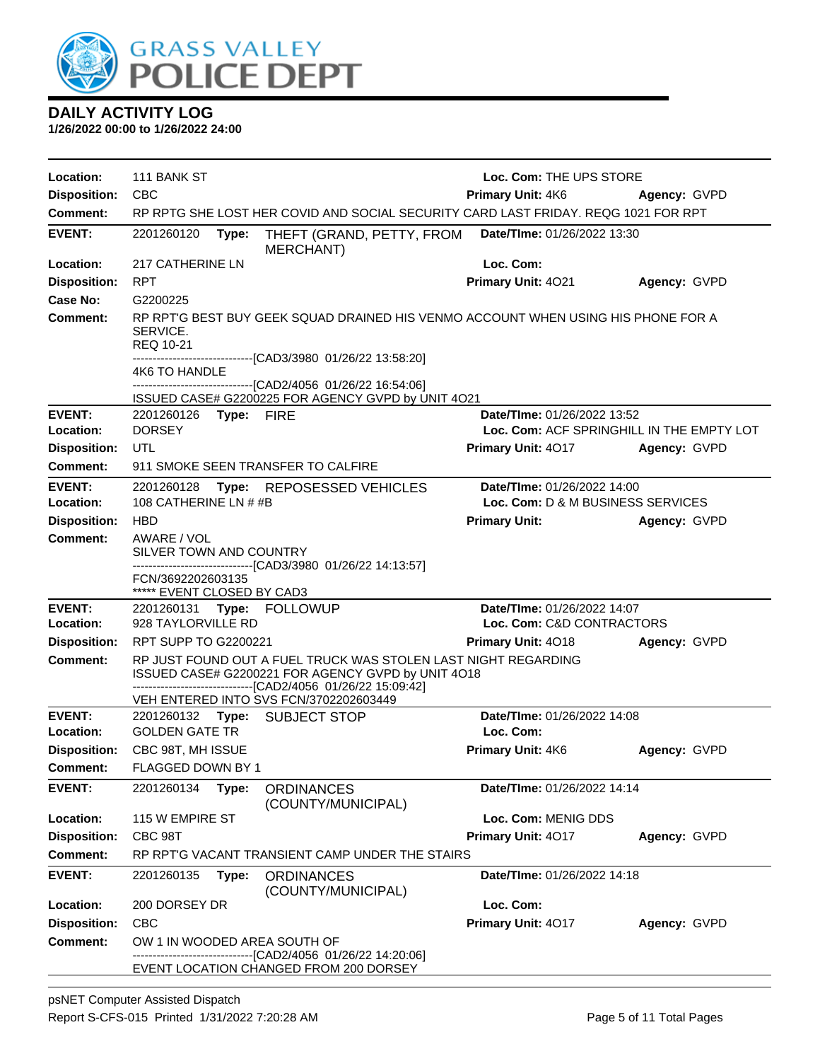

| Location:                  | 111 BANK ST                                                                                                                                                                          | Loc. Com: THE UPS STORE                                          |              |
|----------------------------|--------------------------------------------------------------------------------------------------------------------------------------------------------------------------------------|------------------------------------------------------------------|--------------|
| <b>Disposition:</b>        | <b>CBC</b>                                                                                                                                                                           | <b>Primary Unit: 4K6</b><br>Agency: GVPD                         |              |
| <b>Comment:</b>            | RP RPTG SHE LOST HER COVID AND SOCIAL SECURITY CARD LAST FRIDAY. REQG 1021 FOR RPT                                                                                                   |                                                                  |              |
| <b>EVENT:</b>              | 2201260120<br>Type:<br>THEFT (GRAND, PETTY, FROM<br><b>MERCHANT)</b>                                                                                                                 | Date/TIme: 01/26/2022 13:30                                      |              |
| Location:                  | 217 CATHERINE LN                                                                                                                                                                     | Loc. Com:                                                        |              |
| <b>Disposition:</b>        | <b>RPT</b>                                                                                                                                                                           | Primary Unit: 4021                                               | Agency: GVPD |
| <b>Case No:</b>            | G2200225                                                                                                                                                                             |                                                                  |              |
| <b>Comment:</b>            | RP RPT'G BEST BUY GEEK SQUAD DRAINED HIS VENMO ACCOUNT WHEN USING HIS PHONE FOR A<br>SERVICE.<br><b>REQ 10-21</b><br>-------------------------[CAD3/3980_01/26/22 13:58:20]          |                                                                  |              |
|                            | 4K6 TO HANDLE                                                                                                                                                                        |                                                                  |              |
|                            | -------------------------------[CAD2/4056 01/26/22 16:54:06]<br>ISSUED CASE# G2200225 FOR AGENCY GVPD by UNIT 4O21                                                                   |                                                                  |              |
| <b>EVENT:</b>              | 2201260126<br>Type: FIRE                                                                                                                                                             | Date/TIme: 01/26/2022 13:52                                      |              |
| Location:                  | <b>DORSEY</b>                                                                                                                                                                        | Loc. Com: ACF SPRINGHILL IN THE EMPTY LOT                        |              |
| <b>Disposition:</b>        | UTL                                                                                                                                                                                  | <b>Primary Unit: 4017</b>                                        | Agency: GVPD |
| Comment:                   | 911 SMOKE SEEN TRANSFER TO CALFIRE                                                                                                                                                   |                                                                  |              |
| <b>EVENT:</b><br>Location: | 2201260128<br>Type:<br>REPOSESSED VEHICLES<br>108 CATHERINE LN # #B                                                                                                                  | Date/TIme: 01/26/2022 14:00<br>Loc. Com: D & M BUSINESS SERVICES |              |
| <b>Disposition:</b>        | <b>HBD</b>                                                                                                                                                                           | <b>Primary Unit:</b>                                             | Agency: GVPD |
| <b>Comment:</b>            | AWARE / VOL<br>SILVER TOWN AND COUNTRY<br>------------------------------[CAD3/3980_01/26/22 14:13:57]                                                                                |                                                                  |              |
|                            | FCN/3692202603135<br>***** EVENT CLOSED BY CAD3                                                                                                                                      |                                                                  |              |
| <b>EVENT:</b>              | 2201260131 Type: FOLLOWUP                                                                                                                                                            | Date/TIme: 01/26/2022 14:07                                      |              |
| Location:                  | 928 TAYLORVILLE RD                                                                                                                                                                   | Loc. Com: C&D CONTRACTORS                                        |              |
| <b>Disposition:</b>        | RPT SUPP TO G2200221                                                                                                                                                                 | Primary Unit: 4018                                               | Agency: GVPD |
| <b>Comment:</b>            | RP JUST FOUND OUT A FUEL TRUCK WAS STOLEN LAST NIGHT REGARDING<br>ISSUED CASE# G2200221 FOR AGENCY GVPD by UNIT 4O18<br>-------------------------------[CAD2/4056 01/26/22 15:09:42] |                                                                  |              |
|                            | VEH ENTERED INTO SVS FCN/3702202603449                                                                                                                                               |                                                                  |              |
| <b>EVENT:</b>              | 2201260132 Type: SUBJECT STOP                                                                                                                                                        | Date/TIme: 01/26/2022 14:08                                      |              |
| Location:                  | <b>GOLDEN GATE TR</b>                                                                                                                                                                | Loc. Com:                                                        |              |
| <b>Disposition:</b>        | CBC 98T, MH ISSUE<br>FLAGGED DOWN BY 1                                                                                                                                               | Primary Unit: 4K6                                                | Agency: GVPD |
| Comment:                   |                                                                                                                                                                                      |                                                                  |              |
| <b>EVENT:</b>              | 2201260134<br>Type:<br><b>ORDINANCES</b><br>(COUNTY/MUNICIPAL)                                                                                                                       | Date/TIme: 01/26/2022 14:14                                      |              |
| Location:                  | 115 W EMPIRE ST                                                                                                                                                                      | Loc. Com: MENIG DDS                                              |              |
| <b>Disposition:</b>        | CBC 98T                                                                                                                                                                              | Primary Unit: 4017                                               | Agency: GVPD |
| Comment:                   | RP RPT'G VACANT TRANSIENT CAMP UNDER THE STAIRS                                                                                                                                      |                                                                  |              |
| <b>EVENT:</b>              | 2201260135<br>Type:<br><b>ORDINANCES</b><br>(COUNTY/MUNICIPAL)                                                                                                                       | Date/TIme: 01/26/2022 14:18                                      |              |
| Location:                  | 200 DORSEY DR                                                                                                                                                                        | Loc. Com:                                                        |              |
| <b>Disposition:</b>        | <b>CBC</b>                                                                                                                                                                           | Primary Unit: 4017                                               | Agency: GVPD |
| <b>Comment:</b>            | OW 1 IN WOODED AREA SOUTH OF<br>---[CAD2/4056_01/26/22 14:20:06]                                                                                                                     |                                                                  |              |
|                            | EVENT LOCATION CHANGED FROM 200 DORSEY                                                                                                                                               |                                                                  |              |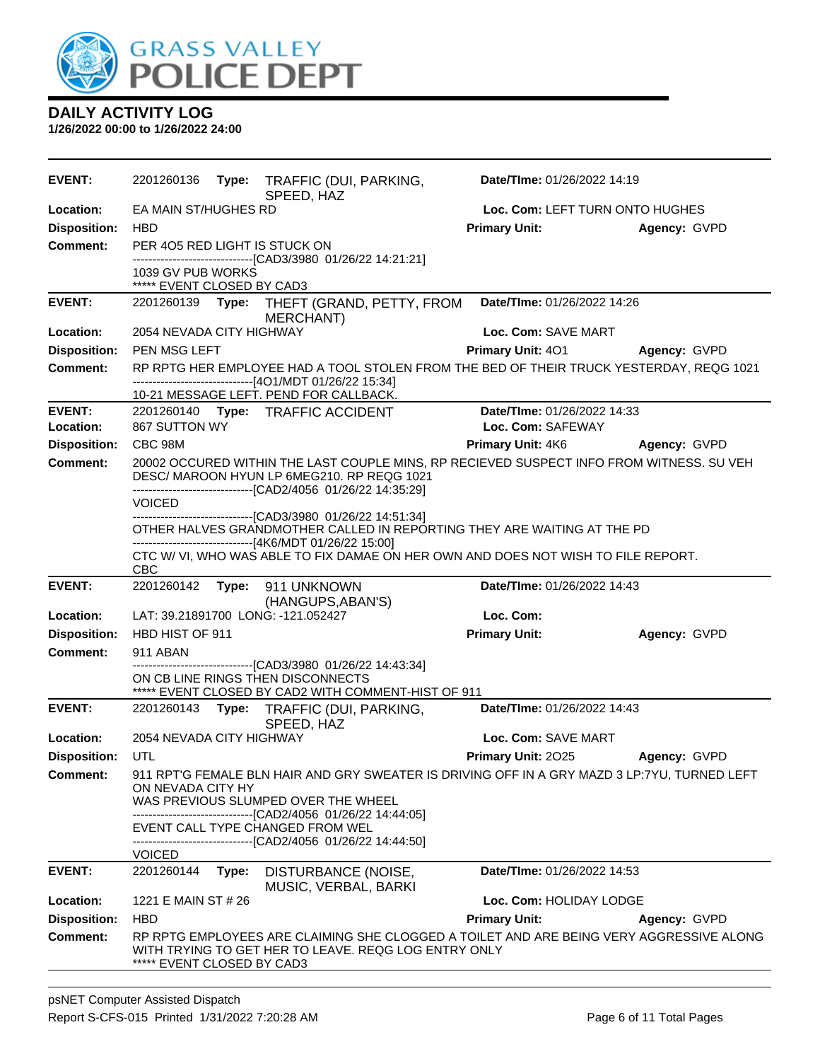

| <b>EVENT:</b>              | 2201260136                                     |       | Type: TRAFFIC (DUI, PARKING,<br>SPEED, HAZ                                                                                                                                                             | Date/TIme: 01/26/2022 14:19                      |              |
|----------------------------|------------------------------------------------|-------|--------------------------------------------------------------------------------------------------------------------------------------------------------------------------------------------------------|--------------------------------------------------|--------------|
| Location:                  | EA MAIN ST/HUGHES RD                           |       |                                                                                                                                                                                                        | Loc. Com: LEFT TURN ONTO HUGHES                  |              |
| <b>Disposition:</b>        | <b>HBD</b>                                     |       |                                                                                                                                                                                                        | <b>Primary Unit:</b>                             | Agency: GVPD |
| <b>Comment:</b>            | PER 405 RED LIGHT IS STUCK ON                  |       | ------------------------------[CAD3/3980 01/26/22 14:21:21]                                                                                                                                            |                                                  |              |
|                            | 1039 GV PUB WORKS                              |       |                                                                                                                                                                                                        |                                                  |              |
| <b>EVENT:</b>              | ***** EVENT CLOSED BY CAD3<br>2201260139 Type: |       |                                                                                                                                                                                                        | Date/TIme: 01/26/2022 14:26                      |              |
|                            |                                                |       | THEFT (GRAND, PETTY, FROM<br>MERCHANT)                                                                                                                                                                 |                                                  |              |
| Location:                  | 2054 NEVADA CITY HIGHWAY                       |       |                                                                                                                                                                                                        | Loc. Com: SAVE MART                              |              |
| <b>Disposition:</b>        | <b>PEN MSG LEFT</b>                            |       |                                                                                                                                                                                                        | Primary Unit: 401                                | Agency: GVPD |
| <b>Comment:</b>            |                                                |       | RP RPTG HER EMPLOYEE HAD A TOOL STOLEN FROM THE BED OF THEIR TRUCK YESTERDAY, REQG 1021<br>------------------------------[4O1/MDT 01/26/22 15:34]                                                      |                                                  |              |
|                            |                                                |       | 10-21 MESSAGE LEFT. PEND FOR CALLBACK.                                                                                                                                                                 |                                                  |              |
| <b>EVENT:</b><br>Location: | 867 SUTTON WY                                  |       | 2201260140 Type: TRAFFIC ACCIDENT                                                                                                                                                                      | Date/TIme: 01/26/2022 14:33<br>Loc. Com: SAFEWAY |              |
| <b>Disposition:</b>        | CBC 98M                                        |       |                                                                                                                                                                                                        | <b>Primary Unit: 4K6</b>                         | Agency: GVPD |
| <b>Comment:</b>            |                                                |       | 20002 OCCURED WITHIN THE LAST COUPLE MINS, RP RECIEVED SUSPECT INFO FROM WITNESS. SU VEH<br>DESC/ MAROON HYUN LP 6MEG210. RP REQG 1021<br>-------------------------------[CAD2/4056_01/26/22 14:35:29] |                                                  |              |
|                            | <b>VOICED</b>                                  |       |                                                                                                                                                                                                        |                                                  |              |
|                            |                                                |       | ------------------------------[CAD3/3980 01/26/22 14:51:34]<br>OTHER HALVES GRANDMOTHER CALLED IN REPORTING THEY ARE WAITING AT THE PD<br>-------------------------------[4K6/MDT 01/26/22 15:00]      |                                                  |              |
|                            | <b>CBC</b>                                     |       | CTC W/ VI, WHO WAS ABLE TO FIX DAMAE ON HER OWN AND DOES NOT WISH TO FILE REPORT.                                                                                                                      |                                                  |              |
| <b>EVENT:</b>              | 2201260142                                     |       | Type: 911 UNKNOWN<br>(HANGUPS, ABAN'S)                                                                                                                                                                 | Date/TIme: 01/26/2022 14:43                      |              |
| Location:                  |                                                |       | LAT: 39.21891700 LONG: -121.052427                                                                                                                                                                     | Loc. Com:                                        |              |
| <b>Disposition:</b>        | HBD HIST OF 911                                |       |                                                                                                                                                                                                        | <b>Primary Unit:</b>                             | Agency: GVPD |
| <b>Comment:</b>            | 911 ABAN                                       |       |                                                                                                                                                                                                        |                                                  |              |
|                            |                                                |       | -----------------------[CAD3/3980 01/26/22 14:43:34]<br>ON CB LINE RINGS THEN DISCONNECTS<br>***** EVENT CLOSED BY CAD2 WITH COMMENT-HIST OF 911                                                       |                                                  |              |
| <b>EVENT:</b>              |                                                |       | 2201260143 Type: TRAFFIC (DUI, PARKING,<br>SPEED, HAZ                                                                                                                                                  | Date/TIme: 01/26/2022 14:43                      |              |
| Location:                  | 2054 NEVADA CITY HIGHWAY                       |       |                                                                                                                                                                                                        | Loc. Com: SAVE MART                              |              |
| <b>Disposition:</b>        | UTL                                            |       |                                                                                                                                                                                                        | Primary Unit: 2025                               | Agency: GVPD |
| <b>Comment:</b>            | ON NEVADA CITY HY                              |       | 911 RPT'G FEMALE BLN HAIR AND GRY SWEATER IS DRIVING OFF IN A GRY MAZD 3 LP:7YU, TURNED LEFT<br>WAS PREVIOUS SLUMPED OVER THE WHEEL                                                                    |                                                  |              |
|                            |                                                |       | -------------------------------[CAD2/4056 01/26/22 14:44:05]<br>EVENT CALL TYPE CHANGED FROM WEL                                                                                                       |                                                  |              |
|                            | <b>VOICED</b>                                  |       | -------------------------------[CAD2/4056 01/26/22 14:44:50]                                                                                                                                           |                                                  |              |
| <b>EVENT:</b>              | 2201260144                                     | Type: | <b>DISTURBANCE (NOISE,</b>                                                                                                                                                                             | Date/TIme: 01/26/2022 14:53                      |              |
|                            |                                                |       | MUSIC, VERBAL, BARKI                                                                                                                                                                                   |                                                  |              |
| Location:                  | 1221 E MAIN ST # 26                            |       |                                                                                                                                                                                                        | Loc. Com: HOLIDAY LODGE                          |              |
| <b>Disposition:</b>        | <b>HBD</b>                                     |       |                                                                                                                                                                                                        | <b>Primary Unit:</b>                             | Agency: GVPD |
| <b>Comment:</b>            | ***** EVENT CLOSED BY CAD3                     |       | RP RPTG EMPLOYEES ARE CLAIMING SHE CLOGGED A TOILET AND ARE BEING VERY AGGRESSIVE ALONG<br>WITH TRYING TO GET HER TO LEAVE. REQG LOG ENTRY ONLY                                                        |                                                  |              |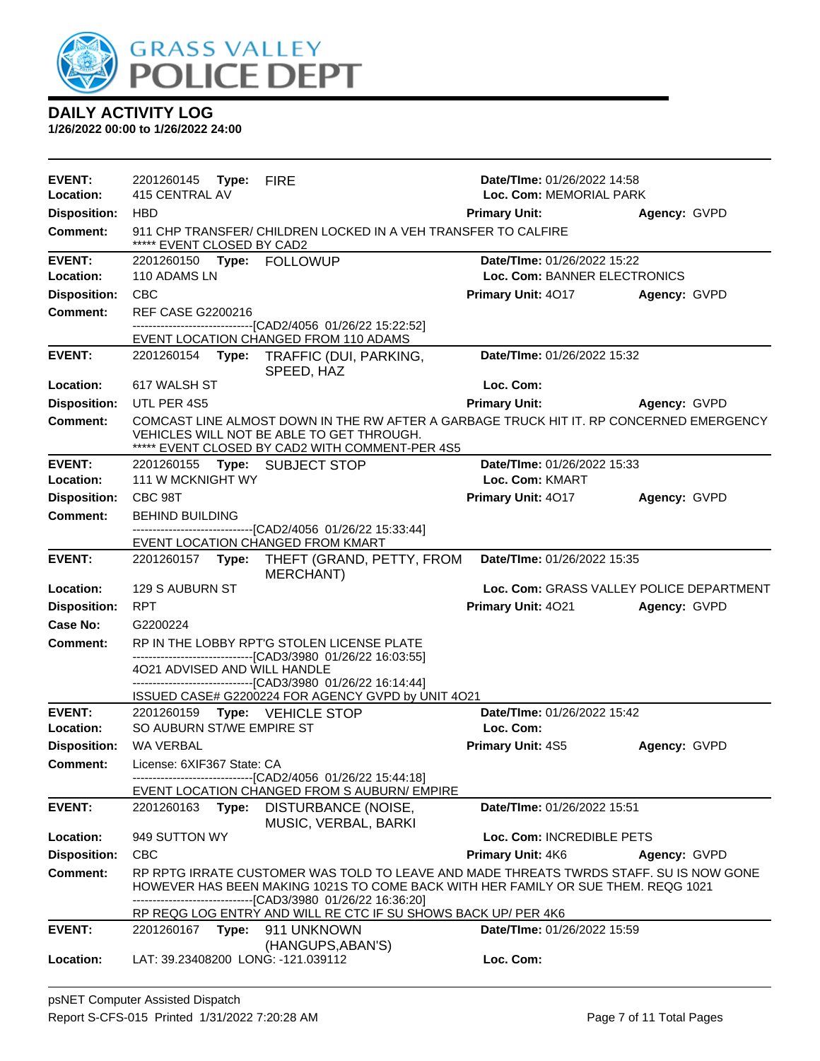

| <b>EVENT:</b>       | 2201260145 <b>Type:</b>            | <b>FIRE</b>                                                                                                                                                                                                                     | Date/TIme: 01/26/2022 14:58              |              |
|---------------------|------------------------------------|---------------------------------------------------------------------------------------------------------------------------------------------------------------------------------------------------------------------------------|------------------------------------------|--------------|
| Location:           | 415 CENTRAL AV                     |                                                                                                                                                                                                                                 | Loc. Com: MEMORIAL PARK                  |              |
| <b>Disposition:</b> | <b>HBD</b>                         |                                                                                                                                                                                                                                 | <b>Primary Unit:</b>                     | Agency: GVPD |
| <b>Comment:</b>     | ***** EVENT CLOSED BY CAD2         | 911 CHP TRANSFER/ CHILDREN LOCKED IN A VEH TRANSFER TO CALFIRE                                                                                                                                                                  |                                          |              |
| <b>EVENT:</b>       | 2201260150 Type: FOLLOWUP          |                                                                                                                                                                                                                                 | Date/TIme: 01/26/2022 15:22              |              |
| Location:           | 110 ADAMS LN                       |                                                                                                                                                                                                                                 | Loc. Com: BANNER ELECTRONICS             |              |
| <b>Disposition:</b> | <b>CBC</b>                         |                                                                                                                                                                                                                                 | <b>Primary Unit: 4017</b>                | Agency: GVPD |
| <b>Comment:</b>     | <b>REF CASE G2200216</b>           |                                                                                                                                                                                                                                 |                                          |              |
|                     |                                    | -------------------------------[CAD2/4056_01/26/22 15:22:52]<br>EVENT LOCATION CHANGED FROM 110 ADAMS                                                                                                                           |                                          |              |
| <b>EVENT:</b>       |                                    | 2201260154 Type: TRAFFIC (DUI, PARKING,<br>SPEED, HAZ                                                                                                                                                                           | Date/TIme: 01/26/2022 15:32              |              |
| Location:           | 617 WALSH ST                       |                                                                                                                                                                                                                                 | Loc. Com:                                |              |
| <b>Disposition:</b> | UTL PER 4S5                        |                                                                                                                                                                                                                                 | <b>Primary Unit:</b>                     | Agency: GVPD |
| <b>Comment:</b>     |                                    | COMCAST LINE ALMOST DOWN IN THE RW AFTER A GARBAGE TRUCK HIT IT. RP CONCERNED EMERGENCY<br>VEHICLES WILL NOT BE ABLE TO GET THROUGH.<br>***** EVENT CLOSED BY CAD2 WITH COMMENT-PER 4S5                                         |                                          |              |
| <b>EVENT:</b>       | 2201260155 Type: SUBJECT STOP      |                                                                                                                                                                                                                                 | Date/TIme: 01/26/2022 15:33              |              |
| Location:           | 111 W MCKNIGHT WY                  |                                                                                                                                                                                                                                 | Loc. Com: KMART                          |              |
| <b>Disposition:</b> | CBC 98T                            |                                                                                                                                                                                                                                 | <b>Primary Unit: 4017</b>                | Agency: GVPD |
| <b>Comment:</b>     | <b>BEHIND BUILDING</b>             | ----------------------------------[CAD2/4056 01/26/22 15:33:44]                                                                                                                                                                 |                                          |              |
|                     |                                    | EVENT LOCATION CHANGED FROM KMART                                                                                                                                                                                               |                                          |              |
| <b>EVENT:</b>       |                                    | 2201260157 Type: THEFT (GRAND, PETTY, FROM<br>MERCHANT)                                                                                                                                                                         | Date/TIme: 01/26/2022 15:35              |              |
| Location:           | 129 S AUBURN ST                    |                                                                                                                                                                                                                                 | Loc. Com: GRASS VALLEY POLICE DEPARTMENT |              |
| <b>Disposition:</b> | <b>RPT</b>                         |                                                                                                                                                                                                                                 | Primary Unit: 4021                       | Agency: GVPD |
| Case No:            | G2200224                           |                                                                                                                                                                                                                                 |                                          |              |
| <b>Comment:</b>     |                                    | RP IN THE LOBBY RPT'G STOLEN LICENSE PLATE                                                                                                                                                                                      |                                          |              |
|                     | 4021 ADVISED AND WILL HANDLE       | -------------------------------[CAD3/3980 01/26/22 16:03:55]<br>-------------------------------[CAD3/3980_01/26/22 16:14:44]                                                                                                    |                                          |              |
|                     |                                    | ISSUED CASE# G2200224 FOR AGENCY GVPD by UNIT 4O21                                                                                                                                                                              |                                          |              |
| <b>EVENT:</b>       | 2201260159 Type: VEHICLE STOP      |                                                                                                                                                                                                                                 | Date/TIme: 01/26/2022 15:42              |              |
| Location:           | SO AUBURN ST/WE EMPIRE ST          |                                                                                                                                                                                                                                 | Loc. Com:                                |              |
| <b>Disposition:</b> | WA VERBAL                          |                                                                                                                                                                                                                                 | <b>Primary Unit: 4S5</b>                 | Agency: GVPD |
| <b>Comment:</b>     | License: 6XIF367 State: CA         | -------------------------------[CAD2/4056 01/26/22 15:44:18]                                                                                                                                                                    |                                          |              |
|                     |                                    | EVENT LOCATION CHANGED FROM S AUBURN/ EMPIRE                                                                                                                                                                                    |                                          |              |
| <b>EVENT:</b>       | 2201260163 Type:                   | DISTURBANCE (NOISE,<br>MUSIC, VERBAL, BARKI                                                                                                                                                                                     | Date/TIme: 01/26/2022 15:51              |              |
| Location:           | 949 SUTTON WY                      |                                                                                                                                                                                                                                 | Loc. Com: INCREDIBLE PETS                |              |
| <b>Disposition:</b> | <b>CBC</b>                         |                                                                                                                                                                                                                                 | Primary Unit: 4K6                        | Agency: GVPD |
| <b>Comment:</b>     |                                    | RP RPTG IRRATE CUSTOMER WAS TOLD TO LEAVE AND MADE THREATS TWRDS STAFF. SU IS NOW GONE<br>HOWEVER HAS BEEN MAKING 1021S TO COME BACK WITH HER FAMILY OR SUE THEM. REQG 1021<br>-------------------[CAD3/3980 01/26/22 16:36:20] |                                          |              |
| <b>EVENT:</b>       | 2201260167<br>Type:                | RP REQG LOG ENTRY AND WILL RE CTC IF SU SHOWS BACK UP/ PER 4K6<br>911 UNKNOWN                                                                                                                                                   | Date/TIme: 01/26/2022 15:59              |              |
|                     |                                    | (HANGUPS, ABAN'S)                                                                                                                                                                                                               |                                          |              |
| Location:           | LAT: 39.23408200 LONG: -121.039112 |                                                                                                                                                                                                                                 | Loc. Com:                                |              |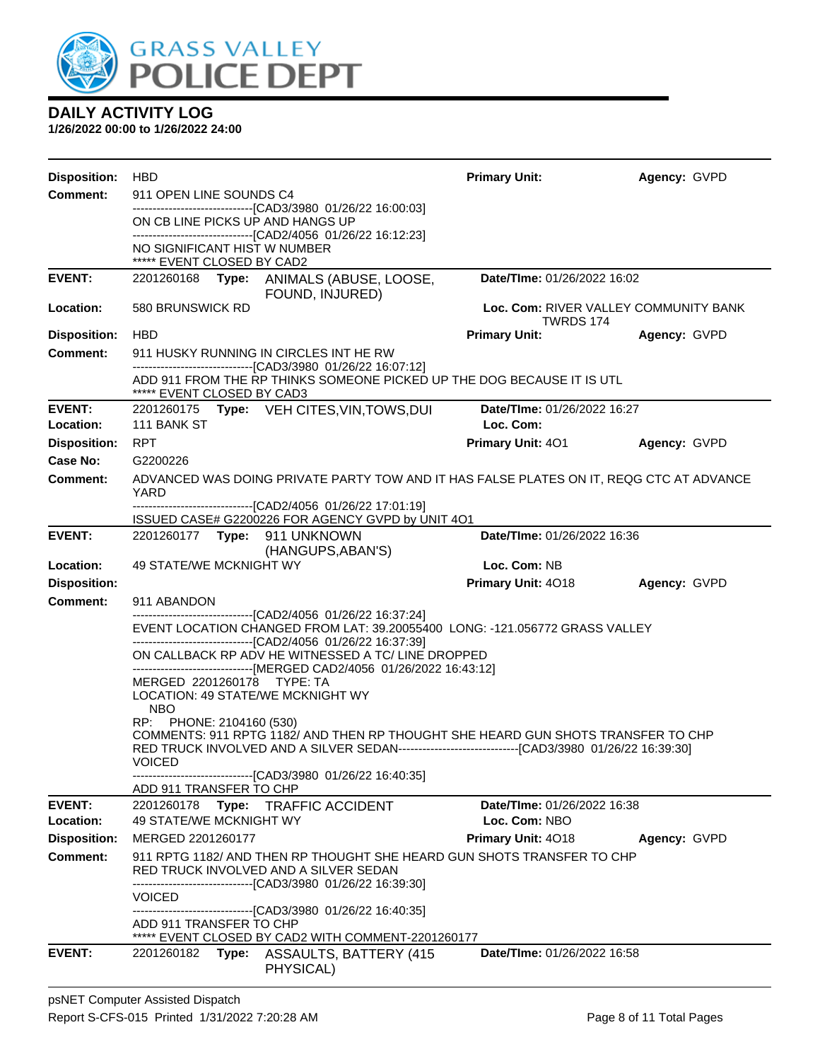

| <b>Disposition:</b>                     | <b>HBD</b>                                                                                                                                                                              | <b>Primary Unit:</b>                         | Agency: GVPD |
|-----------------------------------------|-----------------------------------------------------------------------------------------------------------------------------------------------------------------------------------------|----------------------------------------------|--------------|
| <b>Comment:</b>                         | 911 OPEN LINE SOUNDS C4                                                                                                                                                                 |                                              |              |
|                                         | --------------------------------[CAD3/3980 01/26/22 16:00:03]<br>ON CB LINE PICKS UP AND HANGS UP                                                                                       |                                              |              |
|                                         | -------------------------------[CAD2/4056 01/26/22 16:12:23]                                                                                                                            |                                              |              |
|                                         | NO SIGNIFICANT HIST W NUMBER<br>***** EVENT CLOSED BY CAD2                                                                                                                              |                                              |              |
| <b>EVENT:</b>                           | 2201260168<br>Type: ANIMALS (ABUSE, LOOSE,                                                                                                                                              | Date/TIme: 01/26/2022 16:02                  |              |
| Location:                               | FOUND, INJURED)<br>580 BRUNSWICK RD                                                                                                                                                     | Loc. Com: RIVER VALLEY COMMUNITY BANK        |              |
|                                         |                                                                                                                                                                                         | TWRDS 174                                    |              |
| <b>Disposition:</b>                     | <b>HBD</b>                                                                                                                                                                              | <b>Primary Unit:</b>                         | Agency: GVPD |
| Comment:                                | 911 HUSKY RUNNING IN CIRCLES INT HE RW<br>--------------------------------[CAD3/3980 01/26/22 16:07:12]                                                                                 |                                              |              |
|                                         | ADD 911 FROM THE RP THINKS SOMEONE PICKED UP THE DOG BECAUSE IT IS UTL<br>***** EVENT CLOSED BY CAD3                                                                                    |                                              |              |
| <b>EVENT:</b>                           | 2201260175 Type: VEH CITES, VIN, TOWS, DUI                                                                                                                                              | Date/TIme: 01/26/2022 16:27                  |              |
| <b>Location:</b><br><b>Disposition:</b> | 111 BANK ST<br><b>RPT</b>                                                                                                                                                               | Loc. Com:<br><b>Primary Unit: 401</b>        | Agency: GVPD |
| Case No:                                | G2200226                                                                                                                                                                                |                                              |              |
| <b>Comment:</b>                         | ADVANCED WAS DOING PRIVATE PARTY TOW AND IT HAS FALSE PLATES ON IT, REQG CTC AT ADVANCE                                                                                                 |                                              |              |
|                                         | YARD<br>-------------------------------[CAD2/4056_01/26/22_17:01:19]                                                                                                                    |                                              |              |
|                                         | ISSUED CASE# G2200226 FOR AGENCY GVPD by UNIT 4O1                                                                                                                                       |                                              |              |
| <b>EVENT:</b>                           | 2201260177    Type: 911    UNKNOWN                                                                                                                                                      | Date/TIme: 01/26/2022 16:36                  |              |
| Location:                               | (HANGUPS, ABAN'S)<br>49 STATE/WE MCKNIGHT WY                                                                                                                                            | Loc. Com: NB                                 |              |
| <b>Disposition:</b>                     |                                                                                                                                                                                         | Primary Unit: 4018                           | Agency: GVPD |
| <b>Comment:</b>                         | 911 ABANDON                                                                                                                                                                             |                                              |              |
|                                         | ------------------------[CAD2/4056_01/26/22 16:37:24]<br>EVENT LOCATION CHANGED FROM LAT: 39.20055400 LONG: -121.056772 GRASS VALLEY                                                    |                                              |              |
|                                         | ------------------------------[CAD2/4056 01/26/22 16:37:39]                                                                                                                             |                                              |              |
|                                         | ON CALLBACK RP ADV HE WITNESSED A TC/ LINE DROPPED<br>------------------------------[MERGED CAD2/4056_01/26/2022 16:43:12]                                                              |                                              |              |
|                                         | MERGED 2201260178<br>TYPE: TA                                                                                                                                                           |                                              |              |
|                                         | LOCATION: 49 STATE/WE MCKNIGHT WY<br><b>NBO</b>                                                                                                                                         |                                              |              |
|                                         | RP: PHONE: 2104160 (530)                                                                                                                                                                |                                              |              |
|                                         | COMMENTS: 911 RPTG 1182/ AND THEN RP THOUGHT SHE HEARD GUN SHOTS TRANSFER TO CHP<br>RED TRUCK INVOLVED AND A SILVER SEDAN---------------------------------[CAD3/3980 01/26/22 16:39:30] |                                              |              |
|                                         | <b>VOICED</b><br>-------------------------------[CAD3/3980 01/26/22 16:40:35]                                                                                                           |                                              |              |
|                                         | ADD 911 TRANSFER TO CHP                                                                                                                                                                 |                                              |              |
| <b>EVENT:</b><br>Location:              | 2201260178 Type: TRAFFIC ACCIDENT<br>49 STATE/WE MCKNIGHT WY                                                                                                                            | Date/TIme: 01/26/2022 16:38<br>Loc. Com: NBO |              |
| <b>Disposition:</b>                     | MERGED 2201260177                                                                                                                                                                       | <b>Primary Unit: 4018</b>                    | Agency: GVPD |
| Comment:                                | 911 RPTG 1182/ AND THEN RP THOUGHT SHE HEARD GUN SHOTS TRANSFER TO CHP                                                                                                                  |                                              |              |
|                                         | RED TRUCK INVOLVED AND A SILVER SEDAN<br>------------------------[CAD3/3980_01/26/22 16:39:30]                                                                                          |                                              |              |
|                                         | <b>VOICED</b>                                                                                                                                                                           |                                              |              |
|                                         | ---------------------------------[CAD3/3980 01/26/22 16:40:35]<br>ADD 911 TRANSFER TO CHP                                                                                               |                                              |              |
|                                         | ***** EVENT CLOSED BY CAD2 WITH COMMENT-2201260177                                                                                                                                      |                                              |              |
| <b>EVENT:</b>                           | 2201260182<br>Type: ASSAULTS, BATTERY (415<br>PHYSICAL)                                                                                                                                 | Date/TIme: 01/26/2022 16:58                  |              |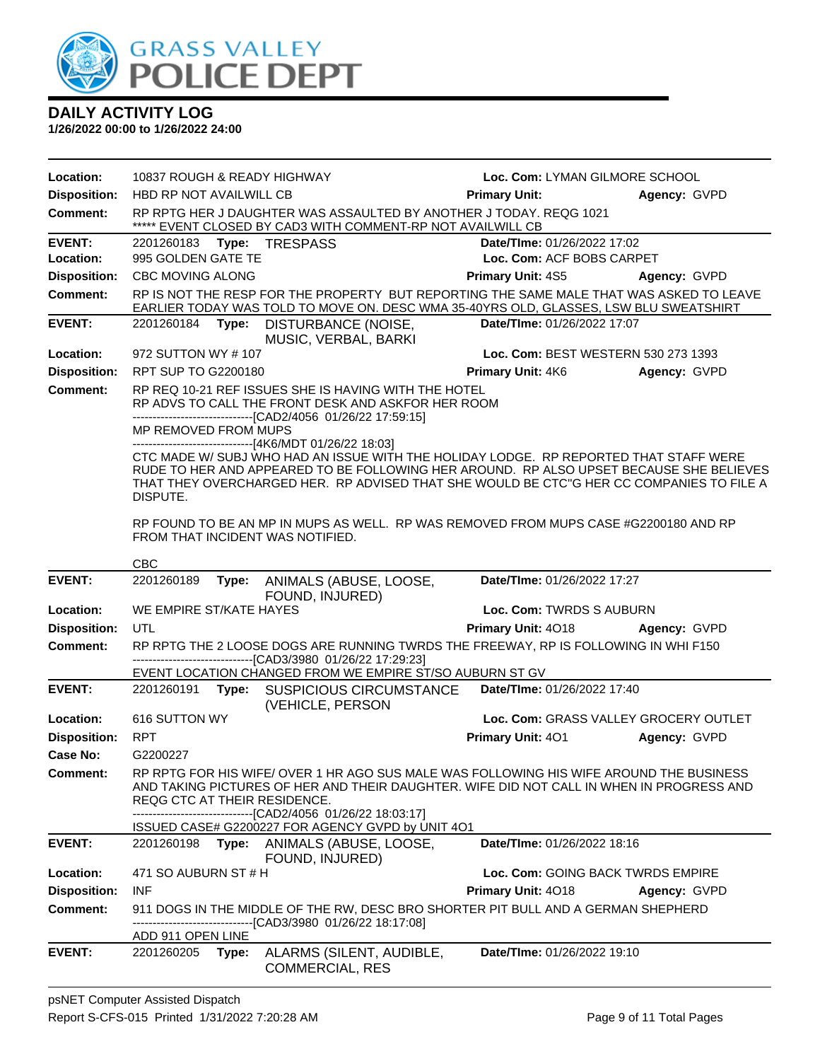

| 10837 ROUGH & READY HIGHWAY<br>Loc. Com: LYMAN GILMORE SCHOOL<br>Location:<br><b>Disposition:</b><br>HBD RP NOT AVAILWILL CB<br><b>Primary Unit:</b><br>Agency: GVPD<br><b>Comment:</b><br>RP RPTG HER J DAUGHTER WAS ASSAULTED BY ANOTHER J TODAY. REQG 1021<br>***** EVENT CLOSED BY CAD3 WITH COMMENT-RP NOT AVAILWILL CB<br><b>EVENT:</b><br>Type: TRESPASS<br>Date/TIme: 01/26/2022 17:02<br>2201260183<br>995 GOLDEN GATE TE<br>Loc. Com: ACF BOBS CARPET<br>Location:<br><b>Disposition:</b><br>CBC MOVING ALONG<br>Primary Unit: 4S5<br>Agency: GVPD<br><b>Comment:</b><br>RP IS NOT THE RESP FOR THE PROPERTY BUT REPORTING THE SAME MALE THAT WAS ASKED TO LEAVE<br>EARLIER TODAY WAS TOLD TO MOVE ON. DESC WMA 35-40YRS OLD, GLASSES, LSW BLU SWEATSHIRT<br><b>EVENT:</b><br>Date/TIme: 01/26/2022 17:07<br>2201260184<br>Type:<br><b>DISTURBANCE (NOISE,</b><br>MUSIC, VERBAL, BARKI<br>Location:<br>Loc. Com: BEST WESTERN 530 273 1393<br>972 SUTTON WY #107<br><b>Disposition:</b><br><b>Primary Unit: 4K6</b><br>RPT SUP TO G2200180<br>Agency: GVPD<br><b>Comment:</b><br>RP REQ 10-21 REF ISSUES SHE IS HAVING WITH THE HOTEL<br>RP ADVS TO CALL THE FRONT DESK AND ASKFOR HER ROOM<br>--------------------------------[CAD2/4056 01/26/22 17:59:15]<br>MP REMOVED FROM MUPS<br>-------------------------------[4K6/MDT 01/26/22 18:03]<br>CTC MADE W/ SUBJ WHO HAD AN ISSUE WITH THE HOLIDAY LODGE. RP REPORTED THAT STAFF WERE<br>RUDE TO HER AND APPEARED TO BE FOLLOWING HER AROUND. RP ALSO UPSET BECAUSE SHE BELIEVES<br>THAT THEY OVERCHARGED HER. RP ADVISED THAT SHE WOULD BE CTC"G HER CC COMPANIES TO FILE A<br>DISPUTE.<br>RP FOUND TO BE AN MP IN MUPS AS WELL. RP WAS REMOVED FROM MUPS CASE #G2200180 AND RP<br>FROM THAT INCIDENT WAS NOTIFIED.<br><b>CBC</b><br><b>EVENT:</b><br>2201260189<br>ANIMALS (ABUSE, LOOSE,<br>Date/TIme: 01/26/2022 17:27<br>Type:<br>FOUND, INJURED)<br>Location:<br>WE EMPIRE ST/KATE HAYES<br>Loc. Com: TWRDS S AUBURN<br><b>Disposition:</b><br>UTL<br>Primary Unit: 4018 Agency: GVPD<br>RP RPTG THE 2 LOOSE DOGS ARE RUNNING TWRDS THE FREEWAY, RP IS FOLLOWING IN WHI F150<br><b>Comment:</b><br>-------------------------------[CAD3/3980 01/26/22 17:29:23]<br>EVENT LOCATION CHANGED FROM WE EMPIRE ST/SO AUBURN ST GV<br><b>EVENT:</b><br>Type: SUSPICIOUS CIRCUMSTANCE<br>Date/TIme: 01/26/2022 17:40<br>2201260191<br>(VEHICLE, PERSON<br>Loc. Com: GRASS VALLEY GROCERY OUTLET<br>Location:<br>616 SUTTON WY<br><b>Disposition:</b><br><b>RPT</b><br>Primary Unit: 401<br>Agency: GVPD<br>Case No:<br>G2200227<br>RP RPTG FOR HIS WIFE/OVER 1 HR AGO SUS MALE WAS FOLLOWING HIS WIFE AROUND THE BUSINESS<br><b>Comment:</b><br>AND TAKING PICTURES OF HER AND THEIR DAUGHTER. WIFE DID NOT CALL IN WHEN IN PROGRESS AND<br>REQG CTC AT THEIR RESIDENCE.<br>-------------------------------[CAD2/4056 01/26/22 18:03:17]<br>ISSUED CASE# G2200227 FOR AGENCY GVPD by UNIT 4O1<br><b>EVENT:</b><br>Type: ANIMALS (ABUSE, LOOSE,<br>Date/TIme: 01/26/2022 18:16<br>2201260198<br>FOUND, INJURED)<br>Location:<br>471 SO AUBURN ST # H<br>Loc. Com: GOING BACK TWRDS EMPIRE<br><b>Disposition:</b><br><b>INF</b><br>Primary Unit: 4018<br>Agency: GVPD<br><b>Comment:</b><br>911 DOGS IN THE MIDDLE OF THE RW, DESC BRO SHORTER PIT BULL AND A GERMAN SHEPHERD<br>--[CAD3/3980 01/26/22 18:17:08]<br>ADD 911 OPEN LINE<br><b>EVENT:</b><br>Date/TIme: 01/26/2022 19:10<br>2201260205<br>ALARMS (SILENT, AUDIBLE,<br>Type:<br><b>COMMERCIAL, RES</b> |  |  |  |
|-----------------------------------------------------------------------------------------------------------------------------------------------------------------------------------------------------------------------------------------------------------------------------------------------------------------------------------------------------------------------------------------------------------------------------------------------------------------------------------------------------------------------------------------------------------------------------------------------------------------------------------------------------------------------------------------------------------------------------------------------------------------------------------------------------------------------------------------------------------------------------------------------------------------------------------------------------------------------------------------------------------------------------------------------------------------------------------------------------------------------------------------------------------------------------------------------------------------------------------------------------------------------------------------------------------------------------------------------------------------------------------------------------------------------------------------------------------------------------------------------------------------------------------------------------------------------------------------------------------------------------------------------------------------------------------------------------------------------------------------------------------------------------------------------------------------------------------------------------------------------------------------------------------------------------------------------------------------------------------------------------------------------------------------------------------------------------------------------------------------------------------------------------------------------------------------------------------------------------------------------------------------------------------------------------------------------------------------------------------------------------------------------------------------------------------------------------------------------------------------------------------------------------------------------------------------------------------------------------------------------------------------------------------------------------------------------------------------------------------------------------------------------------------------------------------------------------------------------------------------------------------------------------------------------------------------------------------------------------------------------------------------------------------------------------------------------------------------------------------------------------------------------------------------------------------------------------------------------------------------------------------------------------------------------------------------------------------------------------------------------------------------------------------------------------------------------------------------------------------------------------------------------------|--|--|--|
|                                                                                                                                                                                                                                                                                                                                                                                                                                                                                                                                                                                                                                                                                                                                                                                                                                                                                                                                                                                                                                                                                                                                                                                                                                                                                                                                                                                                                                                                                                                                                                                                                                                                                                                                                                                                                                                                                                                                                                                                                                                                                                                                                                                                                                                                                                                                                                                                                                                                                                                                                                                                                                                                                                                                                                                                                                                                                                                                                                                                                                                                                                                                                                                                                                                                                                                                                                                                                                                                                                                             |  |  |  |
|                                                                                                                                                                                                                                                                                                                                                                                                                                                                                                                                                                                                                                                                                                                                                                                                                                                                                                                                                                                                                                                                                                                                                                                                                                                                                                                                                                                                                                                                                                                                                                                                                                                                                                                                                                                                                                                                                                                                                                                                                                                                                                                                                                                                                                                                                                                                                                                                                                                                                                                                                                                                                                                                                                                                                                                                                                                                                                                                                                                                                                                                                                                                                                                                                                                                                                                                                                                                                                                                                                                             |  |  |  |
|                                                                                                                                                                                                                                                                                                                                                                                                                                                                                                                                                                                                                                                                                                                                                                                                                                                                                                                                                                                                                                                                                                                                                                                                                                                                                                                                                                                                                                                                                                                                                                                                                                                                                                                                                                                                                                                                                                                                                                                                                                                                                                                                                                                                                                                                                                                                                                                                                                                                                                                                                                                                                                                                                                                                                                                                                                                                                                                                                                                                                                                                                                                                                                                                                                                                                                                                                                                                                                                                                                                             |  |  |  |
|                                                                                                                                                                                                                                                                                                                                                                                                                                                                                                                                                                                                                                                                                                                                                                                                                                                                                                                                                                                                                                                                                                                                                                                                                                                                                                                                                                                                                                                                                                                                                                                                                                                                                                                                                                                                                                                                                                                                                                                                                                                                                                                                                                                                                                                                                                                                                                                                                                                                                                                                                                                                                                                                                                                                                                                                                                                                                                                                                                                                                                                                                                                                                                                                                                                                                                                                                                                                                                                                                                                             |  |  |  |
|                                                                                                                                                                                                                                                                                                                                                                                                                                                                                                                                                                                                                                                                                                                                                                                                                                                                                                                                                                                                                                                                                                                                                                                                                                                                                                                                                                                                                                                                                                                                                                                                                                                                                                                                                                                                                                                                                                                                                                                                                                                                                                                                                                                                                                                                                                                                                                                                                                                                                                                                                                                                                                                                                                                                                                                                                                                                                                                                                                                                                                                                                                                                                                                                                                                                                                                                                                                                                                                                                                                             |  |  |  |
|                                                                                                                                                                                                                                                                                                                                                                                                                                                                                                                                                                                                                                                                                                                                                                                                                                                                                                                                                                                                                                                                                                                                                                                                                                                                                                                                                                                                                                                                                                                                                                                                                                                                                                                                                                                                                                                                                                                                                                                                                                                                                                                                                                                                                                                                                                                                                                                                                                                                                                                                                                                                                                                                                                                                                                                                                                                                                                                                                                                                                                                                                                                                                                                                                                                                                                                                                                                                                                                                                                                             |  |  |  |
|                                                                                                                                                                                                                                                                                                                                                                                                                                                                                                                                                                                                                                                                                                                                                                                                                                                                                                                                                                                                                                                                                                                                                                                                                                                                                                                                                                                                                                                                                                                                                                                                                                                                                                                                                                                                                                                                                                                                                                                                                                                                                                                                                                                                                                                                                                                                                                                                                                                                                                                                                                                                                                                                                                                                                                                                                                                                                                                                                                                                                                                                                                                                                                                                                                                                                                                                                                                                                                                                                                                             |  |  |  |
|                                                                                                                                                                                                                                                                                                                                                                                                                                                                                                                                                                                                                                                                                                                                                                                                                                                                                                                                                                                                                                                                                                                                                                                                                                                                                                                                                                                                                                                                                                                                                                                                                                                                                                                                                                                                                                                                                                                                                                                                                                                                                                                                                                                                                                                                                                                                                                                                                                                                                                                                                                                                                                                                                                                                                                                                                                                                                                                                                                                                                                                                                                                                                                                                                                                                                                                                                                                                                                                                                                                             |  |  |  |
|                                                                                                                                                                                                                                                                                                                                                                                                                                                                                                                                                                                                                                                                                                                                                                                                                                                                                                                                                                                                                                                                                                                                                                                                                                                                                                                                                                                                                                                                                                                                                                                                                                                                                                                                                                                                                                                                                                                                                                                                                                                                                                                                                                                                                                                                                                                                                                                                                                                                                                                                                                                                                                                                                                                                                                                                                                                                                                                                                                                                                                                                                                                                                                                                                                                                                                                                                                                                                                                                                                                             |  |  |  |
|                                                                                                                                                                                                                                                                                                                                                                                                                                                                                                                                                                                                                                                                                                                                                                                                                                                                                                                                                                                                                                                                                                                                                                                                                                                                                                                                                                                                                                                                                                                                                                                                                                                                                                                                                                                                                                                                                                                                                                                                                                                                                                                                                                                                                                                                                                                                                                                                                                                                                                                                                                                                                                                                                                                                                                                                                                                                                                                                                                                                                                                                                                                                                                                                                                                                                                                                                                                                                                                                                                                             |  |  |  |
|                                                                                                                                                                                                                                                                                                                                                                                                                                                                                                                                                                                                                                                                                                                                                                                                                                                                                                                                                                                                                                                                                                                                                                                                                                                                                                                                                                                                                                                                                                                                                                                                                                                                                                                                                                                                                                                                                                                                                                                                                                                                                                                                                                                                                                                                                                                                                                                                                                                                                                                                                                                                                                                                                                                                                                                                                                                                                                                                                                                                                                                                                                                                                                                                                                                                                                                                                                                                                                                                                                                             |  |  |  |
|                                                                                                                                                                                                                                                                                                                                                                                                                                                                                                                                                                                                                                                                                                                                                                                                                                                                                                                                                                                                                                                                                                                                                                                                                                                                                                                                                                                                                                                                                                                                                                                                                                                                                                                                                                                                                                                                                                                                                                                                                                                                                                                                                                                                                                                                                                                                                                                                                                                                                                                                                                                                                                                                                                                                                                                                                                                                                                                                                                                                                                                                                                                                                                                                                                                                                                                                                                                                                                                                                                                             |  |  |  |
|                                                                                                                                                                                                                                                                                                                                                                                                                                                                                                                                                                                                                                                                                                                                                                                                                                                                                                                                                                                                                                                                                                                                                                                                                                                                                                                                                                                                                                                                                                                                                                                                                                                                                                                                                                                                                                                                                                                                                                                                                                                                                                                                                                                                                                                                                                                                                                                                                                                                                                                                                                                                                                                                                                                                                                                                                                                                                                                                                                                                                                                                                                                                                                                                                                                                                                                                                                                                                                                                                                                             |  |  |  |
|                                                                                                                                                                                                                                                                                                                                                                                                                                                                                                                                                                                                                                                                                                                                                                                                                                                                                                                                                                                                                                                                                                                                                                                                                                                                                                                                                                                                                                                                                                                                                                                                                                                                                                                                                                                                                                                                                                                                                                                                                                                                                                                                                                                                                                                                                                                                                                                                                                                                                                                                                                                                                                                                                                                                                                                                                                                                                                                                                                                                                                                                                                                                                                                                                                                                                                                                                                                                                                                                                                                             |  |  |  |
|                                                                                                                                                                                                                                                                                                                                                                                                                                                                                                                                                                                                                                                                                                                                                                                                                                                                                                                                                                                                                                                                                                                                                                                                                                                                                                                                                                                                                                                                                                                                                                                                                                                                                                                                                                                                                                                                                                                                                                                                                                                                                                                                                                                                                                                                                                                                                                                                                                                                                                                                                                                                                                                                                                                                                                                                                                                                                                                                                                                                                                                                                                                                                                                                                                                                                                                                                                                                                                                                                                                             |  |  |  |
|                                                                                                                                                                                                                                                                                                                                                                                                                                                                                                                                                                                                                                                                                                                                                                                                                                                                                                                                                                                                                                                                                                                                                                                                                                                                                                                                                                                                                                                                                                                                                                                                                                                                                                                                                                                                                                                                                                                                                                                                                                                                                                                                                                                                                                                                                                                                                                                                                                                                                                                                                                                                                                                                                                                                                                                                                                                                                                                                                                                                                                                                                                                                                                                                                                                                                                                                                                                                                                                                                                                             |  |  |  |
|                                                                                                                                                                                                                                                                                                                                                                                                                                                                                                                                                                                                                                                                                                                                                                                                                                                                                                                                                                                                                                                                                                                                                                                                                                                                                                                                                                                                                                                                                                                                                                                                                                                                                                                                                                                                                                                                                                                                                                                                                                                                                                                                                                                                                                                                                                                                                                                                                                                                                                                                                                                                                                                                                                                                                                                                                                                                                                                                                                                                                                                                                                                                                                                                                                                                                                                                                                                                                                                                                                                             |  |  |  |
|                                                                                                                                                                                                                                                                                                                                                                                                                                                                                                                                                                                                                                                                                                                                                                                                                                                                                                                                                                                                                                                                                                                                                                                                                                                                                                                                                                                                                                                                                                                                                                                                                                                                                                                                                                                                                                                                                                                                                                                                                                                                                                                                                                                                                                                                                                                                                                                                                                                                                                                                                                                                                                                                                                                                                                                                                                                                                                                                                                                                                                                                                                                                                                                                                                                                                                                                                                                                                                                                                                                             |  |  |  |
|                                                                                                                                                                                                                                                                                                                                                                                                                                                                                                                                                                                                                                                                                                                                                                                                                                                                                                                                                                                                                                                                                                                                                                                                                                                                                                                                                                                                                                                                                                                                                                                                                                                                                                                                                                                                                                                                                                                                                                                                                                                                                                                                                                                                                                                                                                                                                                                                                                                                                                                                                                                                                                                                                                                                                                                                                                                                                                                                                                                                                                                                                                                                                                                                                                                                                                                                                                                                                                                                                                                             |  |  |  |
|                                                                                                                                                                                                                                                                                                                                                                                                                                                                                                                                                                                                                                                                                                                                                                                                                                                                                                                                                                                                                                                                                                                                                                                                                                                                                                                                                                                                                                                                                                                                                                                                                                                                                                                                                                                                                                                                                                                                                                                                                                                                                                                                                                                                                                                                                                                                                                                                                                                                                                                                                                                                                                                                                                                                                                                                                                                                                                                                                                                                                                                                                                                                                                                                                                                                                                                                                                                                                                                                                                                             |  |  |  |
|                                                                                                                                                                                                                                                                                                                                                                                                                                                                                                                                                                                                                                                                                                                                                                                                                                                                                                                                                                                                                                                                                                                                                                                                                                                                                                                                                                                                                                                                                                                                                                                                                                                                                                                                                                                                                                                                                                                                                                                                                                                                                                                                                                                                                                                                                                                                                                                                                                                                                                                                                                                                                                                                                                                                                                                                                                                                                                                                                                                                                                                                                                                                                                                                                                                                                                                                                                                                                                                                                                                             |  |  |  |
|                                                                                                                                                                                                                                                                                                                                                                                                                                                                                                                                                                                                                                                                                                                                                                                                                                                                                                                                                                                                                                                                                                                                                                                                                                                                                                                                                                                                                                                                                                                                                                                                                                                                                                                                                                                                                                                                                                                                                                                                                                                                                                                                                                                                                                                                                                                                                                                                                                                                                                                                                                                                                                                                                                                                                                                                                                                                                                                                                                                                                                                                                                                                                                                                                                                                                                                                                                                                                                                                                                                             |  |  |  |
|                                                                                                                                                                                                                                                                                                                                                                                                                                                                                                                                                                                                                                                                                                                                                                                                                                                                                                                                                                                                                                                                                                                                                                                                                                                                                                                                                                                                                                                                                                                                                                                                                                                                                                                                                                                                                                                                                                                                                                                                                                                                                                                                                                                                                                                                                                                                                                                                                                                                                                                                                                                                                                                                                                                                                                                                                                                                                                                                                                                                                                                                                                                                                                                                                                                                                                                                                                                                                                                                                                                             |  |  |  |
|                                                                                                                                                                                                                                                                                                                                                                                                                                                                                                                                                                                                                                                                                                                                                                                                                                                                                                                                                                                                                                                                                                                                                                                                                                                                                                                                                                                                                                                                                                                                                                                                                                                                                                                                                                                                                                                                                                                                                                                                                                                                                                                                                                                                                                                                                                                                                                                                                                                                                                                                                                                                                                                                                                                                                                                                                                                                                                                                                                                                                                                                                                                                                                                                                                                                                                                                                                                                                                                                                                                             |  |  |  |
|                                                                                                                                                                                                                                                                                                                                                                                                                                                                                                                                                                                                                                                                                                                                                                                                                                                                                                                                                                                                                                                                                                                                                                                                                                                                                                                                                                                                                                                                                                                                                                                                                                                                                                                                                                                                                                                                                                                                                                                                                                                                                                                                                                                                                                                                                                                                                                                                                                                                                                                                                                                                                                                                                                                                                                                                                                                                                                                                                                                                                                                                                                                                                                                                                                                                                                                                                                                                                                                                                                                             |  |  |  |
|                                                                                                                                                                                                                                                                                                                                                                                                                                                                                                                                                                                                                                                                                                                                                                                                                                                                                                                                                                                                                                                                                                                                                                                                                                                                                                                                                                                                                                                                                                                                                                                                                                                                                                                                                                                                                                                                                                                                                                                                                                                                                                                                                                                                                                                                                                                                                                                                                                                                                                                                                                                                                                                                                                                                                                                                                                                                                                                                                                                                                                                                                                                                                                                                                                                                                                                                                                                                                                                                                                                             |  |  |  |
|                                                                                                                                                                                                                                                                                                                                                                                                                                                                                                                                                                                                                                                                                                                                                                                                                                                                                                                                                                                                                                                                                                                                                                                                                                                                                                                                                                                                                                                                                                                                                                                                                                                                                                                                                                                                                                                                                                                                                                                                                                                                                                                                                                                                                                                                                                                                                                                                                                                                                                                                                                                                                                                                                                                                                                                                                                                                                                                                                                                                                                                                                                                                                                                                                                                                                                                                                                                                                                                                                                                             |  |  |  |
|                                                                                                                                                                                                                                                                                                                                                                                                                                                                                                                                                                                                                                                                                                                                                                                                                                                                                                                                                                                                                                                                                                                                                                                                                                                                                                                                                                                                                                                                                                                                                                                                                                                                                                                                                                                                                                                                                                                                                                                                                                                                                                                                                                                                                                                                                                                                                                                                                                                                                                                                                                                                                                                                                                                                                                                                                                                                                                                                                                                                                                                                                                                                                                                                                                                                                                                                                                                                                                                                                                                             |  |  |  |
|                                                                                                                                                                                                                                                                                                                                                                                                                                                                                                                                                                                                                                                                                                                                                                                                                                                                                                                                                                                                                                                                                                                                                                                                                                                                                                                                                                                                                                                                                                                                                                                                                                                                                                                                                                                                                                                                                                                                                                                                                                                                                                                                                                                                                                                                                                                                                                                                                                                                                                                                                                                                                                                                                                                                                                                                                                                                                                                                                                                                                                                                                                                                                                                                                                                                                                                                                                                                                                                                                                                             |  |  |  |
|                                                                                                                                                                                                                                                                                                                                                                                                                                                                                                                                                                                                                                                                                                                                                                                                                                                                                                                                                                                                                                                                                                                                                                                                                                                                                                                                                                                                                                                                                                                                                                                                                                                                                                                                                                                                                                                                                                                                                                                                                                                                                                                                                                                                                                                                                                                                                                                                                                                                                                                                                                                                                                                                                                                                                                                                                                                                                                                                                                                                                                                                                                                                                                                                                                                                                                                                                                                                                                                                                                                             |  |  |  |
|                                                                                                                                                                                                                                                                                                                                                                                                                                                                                                                                                                                                                                                                                                                                                                                                                                                                                                                                                                                                                                                                                                                                                                                                                                                                                                                                                                                                                                                                                                                                                                                                                                                                                                                                                                                                                                                                                                                                                                                                                                                                                                                                                                                                                                                                                                                                                                                                                                                                                                                                                                                                                                                                                                                                                                                                                                                                                                                                                                                                                                                                                                                                                                                                                                                                                                                                                                                                                                                                                                                             |  |  |  |
|                                                                                                                                                                                                                                                                                                                                                                                                                                                                                                                                                                                                                                                                                                                                                                                                                                                                                                                                                                                                                                                                                                                                                                                                                                                                                                                                                                                                                                                                                                                                                                                                                                                                                                                                                                                                                                                                                                                                                                                                                                                                                                                                                                                                                                                                                                                                                                                                                                                                                                                                                                                                                                                                                                                                                                                                                                                                                                                                                                                                                                                                                                                                                                                                                                                                                                                                                                                                                                                                                                                             |  |  |  |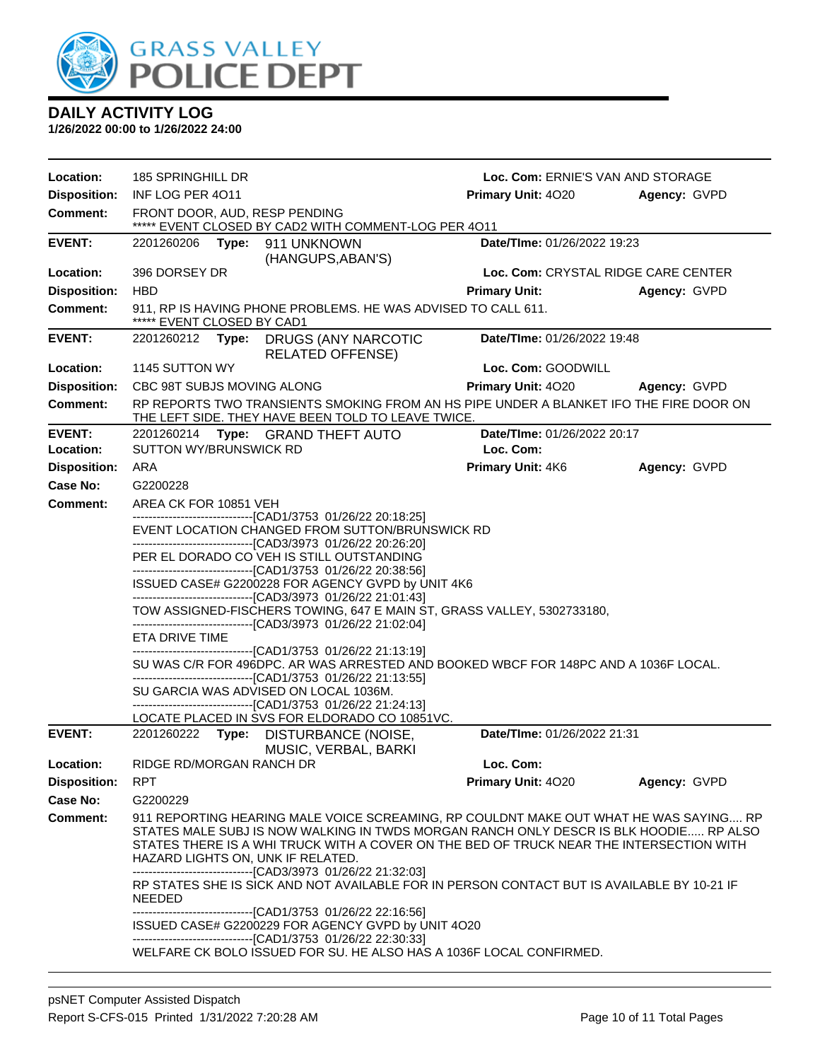

| Location:                  | 185 SPRINGHILL DR                                                                                                                                                               |       |                                                                                                                              | Loc. Com: ERNIE'S VAN AND STORAGE                                                                                                                                                                                                                                         |              |  |
|----------------------------|---------------------------------------------------------------------------------------------------------------------------------------------------------------------------------|-------|------------------------------------------------------------------------------------------------------------------------------|---------------------------------------------------------------------------------------------------------------------------------------------------------------------------------------------------------------------------------------------------------------------------|--------------|--|
| <b>Disposition:</b>        | INF LOG PER 4011                                                                                                                                                                |       |                                                                                                                              | Primary Unit: 4020                                                                                                                                                                                                                                                        | Agency: GVPD |  |
| <b>Comment:</b>            |                                                                                                                                                                                 |       | FRONT DOOR, AUD, RESP PENDING<br>***** EVENT CLOSED BY CAD2 WITH COMMENT-LOG PER 4011                                        |                                                                                                                                                                                                                                                                           |              |  |
| <b>EVENT:</b>              | 2201260206                                                                                                                                                                      | Type: | 911 UNKNOWN<br>(HANGUPS, ABAN'S)                                                                                             | Date/TIme: 01/26/2022 19:23                                                                                                                                                                                                                                               |              |  |
| Location:                  | 396 DORSEY DR                                                                                                                                                                   |       |                                                                                                                              | Loc. Com: CRYSTAL RIDGE CARE CENTER                                                                                                                                                                                                                                       |              |  |
| <b>Disposition:</b>        | <b>HBD</b>                                                                                                                                                                      |       |                                                                                                                              | <b>Primary Unit:</b>                                                                                                                                                                                                                                                      | Agency: GVPD |  |
| <b>Comment:</b>            | ***** EVENT CLOSED BY CAD1                                                                                                                                                      |       | 911, RP IS HAVING PHONE PROBLEMS. HE WAS ADVISED TO CALL 611.                                                                |                                                                                                                                                                                                                                                                           |              |  |
| <b>EVENT:</b>              | 2201260212 <b>Type:</b>                                                                                                                                                         |       | DRUGS (ANY NARCOTIC<br><b>RELATED OFFENSE)</b>                                                                               | Date/TIme: 01/26/2022 19:48                                                                                                                                                                                                                                               |              |  |
| Location:                  | 1145 SUTTON WY                                                                                                                                                                  |       |                                                                                                                              | Loc. Com: GOODWILL                                                                                                                                                                                                                                                        |              |  |
| <b>Disposition:</b>        | CBC 98T SUBJS MOVING ALONG                                                                                                                                                      |       |                                                                                                                              | <b>Primary Unit: 4020</b>                                                                                                                                                                                                                                                 | Agency: GVPD |  |
| <b>Comment:</b>            |                                                                                                                                                                                 |       | THE LEFT SIDE. THEY HAVE BEEN TOLD TO LEAVE TWICE.                                                                           | RP REPORTS TWO TRANSIENTS SMOKING FROM AN HS PIPE UNDER A BLANKET IFO THE FIRE DOOR ON                                                                                                                                                                                    |              |  |
| <b>EVENT:</b><br>Location: | SUTTON WY/BRUNSWICK RD                                                                                                                                                          |       | 2201260214 Type: GRAND THEFT AUTO                                                                                            | Date/TIme: 01/26/2022 20:17<br>Loc. Com:                                                                                                                                                                                                                                  |              |  |
| <b>Disposition:</b>        | ARA                                                                                                                                                                             |       |                                                                                                                              | Primary Unit: 4K6                                                                                                                                                                                                                                                         | Agency: GVPD |  |
| Case No:                   | G2200228                                                                                                                                                                        |       |                                                                                                                              |                                                                                                                                                                                                                                                                           |              |  |
| <b>Comment:</b>            | AREA CK FOR 10851 VEH                                                                                                                                                           |       |                                                                                                                              |                                                                                                                                                                                                                                                                           |              |  |
|                            | -------------------------------[CAD1/3753 01/26/22 20:18:25]<br>EVENT LOCATION CHANGED FROM SUTTON/BRUNSWICK RD<br>-------------------------------[CAD3/3973 01/26/22 20:26:20] |       |                                                                                                                              |                                                                                                                                                                                                                                                                           |              |  |
|                            |                                                                                                                                                                                 |       | PER EL DORADO CO VEH IS STILL OUTSTANDING                                                                                    |                                                                                                                                                                                                                                                                           |              |  |
|                            |                                                                                                                                                                                 |       | --------------------------------[CAD1/3753 01/26/22 20:38:56]                                                                |                                                                                                                                                                                                                                                                           |              |  |
|                            |                                                                                                                                                                                 |       | ISSUED CASE# G2200228 FOR AGENCY GVPD by UNIT 4K6<br>--------------------------------[CAD3/3973 01/26/22 21:01:43]           |                                                                                                                                                                                                                                                                           |              |  |
|                            |                                                                                                                                                                                 |       | -------------------------------[CAD3/3973 01/26/22 21:02:04]                                                                 | TOW ASSIGNED-FISCHERS TOWING, 647 E MAIN ST, GRASS VALLEY, 5302733180,                                                                                                                                                                                                    |              |  |
|                            | ETA DRIVE TIME                                                                                                                                                                  |       |                                                                                                                              |                                                                                                                                                                                                                                                                           |              |  |
|                            |                                                                                                                                                                                 |       | -------------------------------[CAD1/3753 01/26/22 21:13:19]<br>-------------------------------[CAD1/3753_01/26/22_21:13:55] | SU WAS C/R FOR 496DPC. AR WAS ARRESTED AND BOOKED WBCF FOR 148PC AND A 1036F LOCAL.                                                                                                                                                                                       |              |  |
|                            |                                                                                                                                                                                 |       | SU GARCIA WAS ADVISED ON LOCAL 1036M.                                                                                        |                                                                                                                                                                                                                                                                           |              |  |
|                            |                                                                                                                                                                                 |       | -------------------[CAD1/3753_01/26/22_21:24:13]                                                                             |                                                                                                                                                                                                                                                                           |              |  |
| <b>EVENT:</b>              |                                                                                                                                                                                 |       | LOCATE PLACED IN SVS FOR ELDORADO CO 10851VC.<br>2201260222 Type: DISTURBANCE (NOISE,                                        | Date/TIme: 01/26/2022 21:31                                                                                                                                                                                                                                               |              |  |
|                            |                                                                                                                                                                                 |       | MUSIC, VERBAL, BARKI                                                                                                         |                                                                                                                                                                                                                                                                           |              |  |
| Location:                  | RIDGE RD/MORGAN RANCH DR                                                                                                                                                        |       |                                                                                                                              | Loc. Com:                                                                                                                                                                                                                                                                 |              |  |
| <b>Disposition:</b>        | <b>RPT</b>                                                                                                                                                                      |       |                                                                                                                              | Primary Unit: 4020                                                                                                                                                                                                                                                        | Agency: GVPD |  |
| Case No:                   | G2200229                                                                                                                                                                        |       |                                                                                                                              |                                                                                                                                                                                                                                                                           |              |  |
| Comment:                   |                                                                                                                                                                                 |       | HAZARD LIGHTS ON, UNK IF RELATED.<br>--------------------------------[CAD3/3973 01/26/22 21:32:03]                           | 911 REPORTING HEARING MALE VOICE SCREAMING, RP COULDNT MAKE OUT WHAT HE WAS SAYING RP<br>STATES MALE SUBJ IS NOW WALKING IN TWDS MORGAN RANCH ONLY DESCR IS BLK HOODIE RP ALSO<br>STATES THERE IS A WHI TRUCK WITH A COVER ON THE BED OF TRUCK NEAR THE INTERSECTION WITH |              |  |
|                            | <b>NEEDED</b>                                                                                                                                                                   |       |                                                                                                                              | RP STATES SHE IS SICK AND NOT AVAILABLE FOR IN PERSON CONTACT BUT IS AVAILABLE BY 10-21 IF                                                                                                                                                                                |              |  |
|                            |                                                                                                                                                                                 |       | -------------------------------[CAD1/3753 01/26/22 22:16:56]<br>ISSUED CASE# G2200229 FOR AGENCY GVPD by UNIT 4O20           |                                                                                                                                                                                                                                                                           |              |  |
|                            |                                                                                                                                                                                 |       | --------------------------------[CAD1/3753 01/26/22 22:30:33]                                                                |                                                                                                                                                                                                                                                                           |              |  |
|                            |                                                                                                                                                                                 |       | WELFARE CK BOLO ISSUED FOR SU. HE ALSO HAS A 1036F LOCAL CONFIRMED.                                                          |                                                                                                                                                                                                                                                                           |              |  |